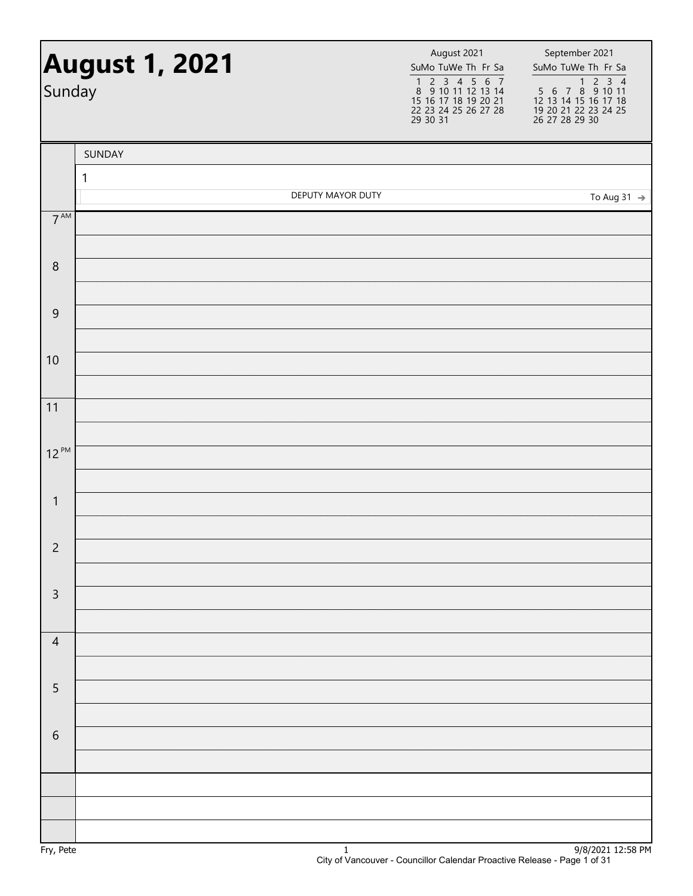| Sunday          | <b>August 1, 2021</b> |                   | August 2021<br>SuMo TuWe Th Fr Sa<br>1 2 3 4 5 6 7<br>8 9 10 11 12 13 14<br>15 16 17 18 19 20 21<br>22 23 24 25 26 27 28<br>29 30 31 | September 2021<br>SuMo TuWe Th Fr Sa<br>1 2 3 4<br>5 6 7 8 9 10 11<br>12 13 14 15 16 17 18<br>19 20 21 22 23 24 25<br>26 27 28 29 30 |
|-----------------|-----------------------|-------------------|--------------------------------------------------------------------------------------------------------------------------------------|--------------------------------------------------------------------------------------------------------------------------------------|
|                 | SUNDAY                |                   |                                                                                                                                      |                                                                                                                                      |
|                 | 1                     |                   |                                                                                                                                      |                                                                                                                                      |
| $7^{\text{AM}}$ |                       | DEPUTY MAYOR DUTY |                                                                                                                                      | To Aug 31 $\rightarrow$                                                                                                              |
|                 |                       |                   |                                                                                                                                      |                                                                                                                                      |
| $\, 8$          |                       |                   |                                                                                                                                      |                                                                                                                                      |
| 9               |                       |                   |                                                                                                                                      |                                                                                                                                      |
|                 |                       |                   |                                                                                                                                      |                                                                                                                                      |
| 10              |                       |                   |                                                                                                                                      |                                                                                                                                      |
| 11              |                       |                   |                                                                                                                                      |                                                                                                                                      |
| $12^{PM}$       |                       |                   |                                                                                                                                      |                                                                                                                                      |
|                 |                       |                   |                                                                                                                                      |                                                                                                                                      |
| $\mathbf{1}$    |                       |                   |                                                                                                                                      |                                                                                                                                      |
| $\overline{c}$  |                       |                   |                                                                                                                                      |                                                                                                                                      |
| $\mathsf 3$     |                       |                   |                                                                                                                                      |                                                                                                                                      |
|                 |                       |                   |                                                                                                                                      |                                                                                                                                      |
| $\overline{4}$  |                       |                   |                                                                                                                                      |                                                                                                                                      |
| $\sqrt{5}$      |                       |                   |                                                                                                                                      |                                                                                                                                      |
|                 |                       |                   |                                                                                                                                      |                                                                                                                                      |
| 6               |                       |                   |                                                                                                                                      |                                                                                                                                      |
|                 |                       |                   |                                                                                                                                      |                                                                                                                                      |
|                 |                       |                   |                                                                                                                                      |                                                                                                                                      |
|                 |                       |                   |                                                                                                                                      |                                                                                                                                      |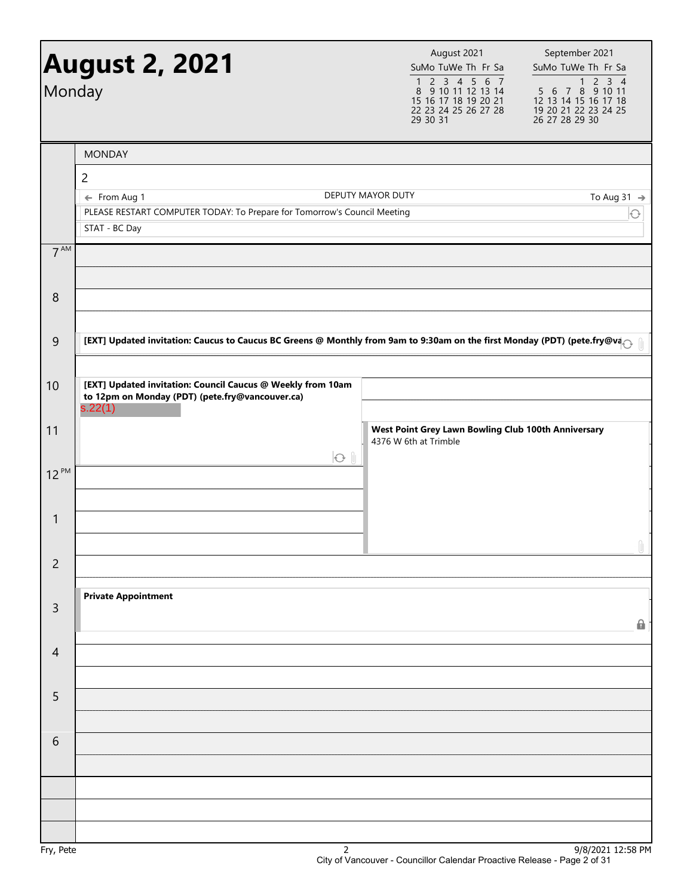| Monday          | <b>August 2, 2021</b>                                                                                                    | August 2021<br>SuMo TuWe Th Fr Sa<br>1 2 3 4 5 6 7<br>8 9 10 11 12 13 14<br>15 16 17 18 19 20 21<br>22 23 24 25 26 27 28<br>29 30 31 | September 2021<br>SuMo TuWe Th Fr Sa<br>$2 \t3 \t4$<br>$\mathbf{1}$<br>$5\ 6\ 7\ 8\ 9\ 10\ 11$<br>12 13 14 15 16 17 18<br>19 20 21 22 23 24 25<br>26 27 28 29 30 |
|-----------------|--------------------------------------------------------------------------------------------------------------------------|--------------------------------------------------------------------------------------------------------------------------------------|------------------------------------------------------------------------------------------------------------------------------------------------------------------|
|                 | <b>MONDAY</b>                                                                                                            |                                                                                                                                      |                                                                                                                                                                  |
|                 | $\overline{2}$                                                                                                           |                                                                                                                                      |                                                                                                                                                                  |
|                 | ← From Aug 1<br>PLEASE RESTART COMPUTER TODAY: To Prepare for Tomorrow's Council Meeting                                 | DEPUTY MAYOR DUTY                                                                                                                    | To Aug 31 $\rightarrow$                                                                                                                                          |
|                 | STAT - BC Day                                                                                                            |                                                                                                                                      |                                                                                                                                                                  |
| 7 <sup>AM</sup> |                                                                                                                          |                                                                                                                                      |                                                                                                                                                                  |
| 8               |                                                                                                                          |                                                                                                                                      |                                                                                                                                                                  |
| 9               | [EXT] Updated invitation: Caucus to Caucus BC Greens @ Monthly from 9am to 9:30am on the first Monday (PDT) (pete.fry@va |                                                                                                                                      |                                                                                                                                                                  |
| 10              | [EXT] Updated invitation: Council Caucus @ Weekly from 10am<br>to 12pm on Monday (PDT) (pete.fry@vancouver.ca)           |                                                                                                                                      |                                                                                                                                                                  |
|                 | s.22(1)                                                                                                                  |                                                                                                                                      |                                                                                                                                                                  |
| 11              | $O$ $\theta$                                                                                                             | West Point Grey Lawn Bowling Club 100th Anniversary<br>4376 W 6th at Trimble                                                         |                                                                                                                                                                  |
| $12^{PM}$       |                                                                                                                          |                                                                                                                                      |                                                                                                                                                                  |
| $\mathbf{1}$    |                                                                                                                          |                                                                                                                                      | $\eta$                                                                                                                                                           |
| $\overline{c}$  |                                                                                                                          |                                                                                                                                      |                                                                                                                                                                  |
| $\overline{3}$  | <b>Private Appointment</b>                                                                                               |                                                                                                                                      | $\mathbf{a}$                                                                                                                                                     |
| $\overline{4}$  |                                                                                                                          |                                                                                                                                      |                                                                                                                                                                  |
| 5               |                                                                                                                          |                                                                                                                                      |                                                                                                                                                                  |
| 6               |                                                                                                                          |                                                                                                                                      |                                                                                                                                                                  |
|                 |                                                                                                                          |                                                                                                                                      |                                                                                                                                                                  |
|                 |                                                                                                                          |                                                                                                                                      |                                                                                                                                                                  |
|                 |                                                                                                                          |                                                                                                                                      |                                                                                                                                                                  |
| Fry, Pete       | $\overline{2}$                                                                                                           |                                                                                                                                      | 9/8/2021 12:58 PM                                                                                                                                                |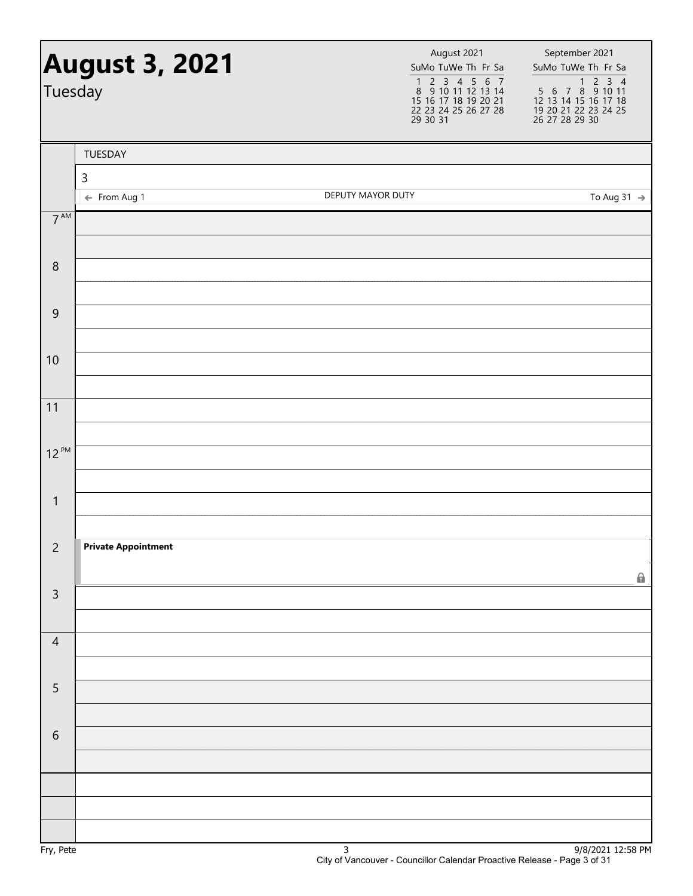| Tuesday         | <b>August 3, 2021</b>       |                   | August 2021<br>SuMo TuWe Th Fr Sa<br>1 2 3 4 5 6 7<br>8 9 10 11 12 13 14<br>15 16 17 18 19 20 21<br>22 23 24 25 26 27 28<br>29 30 31 | September 2021<br>SuMo TuWe Th Fr Sa<br>1 2 3 4<br>5 6 7 8 9 10 11<br>12 13 14 15 16 17 18<br>19 20 21 22 23 24 25<br>26 27 28 29 30 |
|-----------------|-----------------------------|-------------------|--------------------------------------------------------------------------------------------------------------------------------------|--------------------------------------------------------------------------------------------------------------------------------------|
|                 | TUESDAY                     |                   |                                                                                                                                      |                                                                                                                                      |
|                 | $\mathsf 3$<br>← From Aug 1 | DEPUTY MAYOR DUTY |                                                                                                                                      | To Aug 31 $\rightarrow$                                                                                                              |
| $7^{\text{AM}}$ |                             |                   |                                                                                                                                      |                                                                                                                                      |
|                 |                             |                   |                                                                                                                                      |                                                                                                                                      |
| $\,8\,$         |                             |                   |                                                                                                                                      |                                                                                                                                      |
| $\overline{9}$  |                             |                   |                                                                                                                                      |                                                                                                                                      |
|                 |                             |                   |                                                                                                                                      |                                                                                                                                      |
| 10              |                             |                   |                                                                                                                                      |                                                                                                                                      |
| 11              |                             |                   |                                                                                                                                      |                                                                                                                                      |
|                 |                             |                   |                                                                                                                                      |                                                                                                                                      |
| $12^{PM}$       |                             |                   |                                                                                                                                      |                                                                                                                                      |
| $\mathbf{1}$    |                             |                   |                                                                                                                                      |                                                                                                                                      |
|                 |                             |                   |                                                                                                                                      |                                                                                                                                      |
| $\overline{c}$  | <b>Private Appointment</b>  |                   |                                                                                                                                      |                                                                                                                                      |
|                 |                             |                   |                                                                                                                                      | 0                                                                                                                                    |
| $\mathsf 3$     |                             |                   |                                                                                                                                      |                                                                                                                                      |
| $\overline{4}$  |                             |                   |                                                                                                                                      |                                                                                                                                      |
|                 |                             |                   |                                                                                                                                      |                                                                                                                                      |
| 5               |                             |                   |                                                                                                                                      |                                                                                                                                      |
| $\sqrt{6}$      |                             |                   |                                                                                                                                      |                                                                                                                                      |
|                 |                             |                   |                                                                                                                                      |                                                                                                                                      |
|                 |                             |                   |                                                                                                                                      |                                                                                                                                      |
|                 |                             |                   |                                                                                                                                      |                                                                                                                                      |
| $D - F$         |                             | $\mathbf{r}$      |                                                                                                                                      | $0/0/2021$ 12.50 DM                                                                                                                  |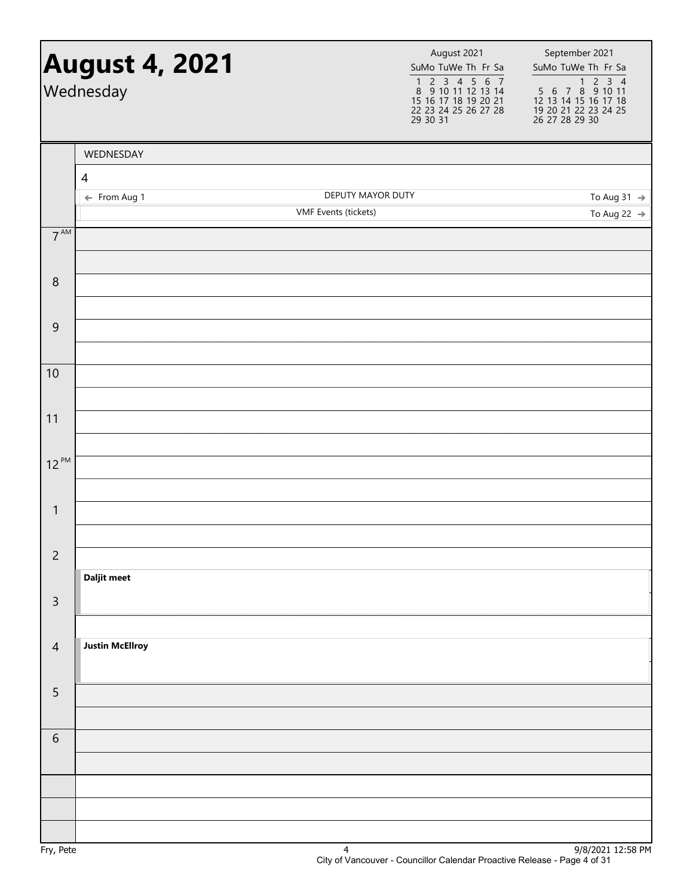## SuMo TuWe Th Fr Sa 1234567 8 9 10 11 12 13 14 15 16 17 18 19 20 21 22 23 24 25 26 27 28 29 30 31 August 2021 SuMo TuWe Th Fr Sa 1234 5 6 7 8 9 10 11 12 13 14 15 16 17 18 19 20 21 22 23 24 25 26 27 28 29 30 **August 4, 2021** August 2021 **August 2021** September 2021 Wednesday 7 AM 8 9 10 11 12 PM 1 2 3 4 5 6 **Daljit meet Justin McEllroy** WEDNESDAY 4 ← From Aug 1 DEPUTY MAYOR DUTY VMF Events (tickets) To Aug 31  $\rightarrow$ To Aug 22  $\rightarrow$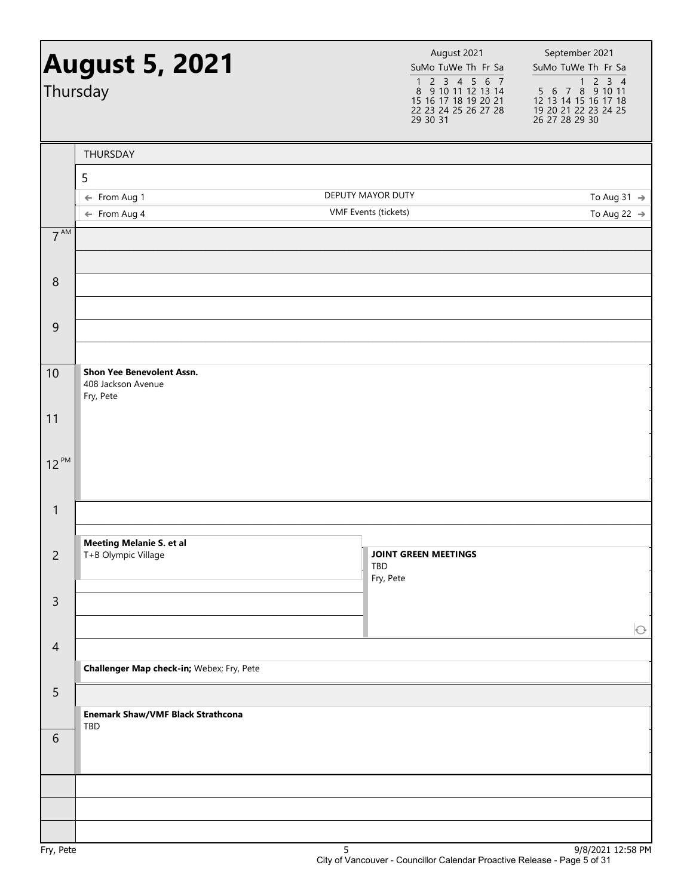|                 | <b>August 5, 2021</b><br>Thursday                                   | August 2021<br>SuMo TuWe Th Fr Sa<br>$\begin{array}{cccccc}\n1 & 2 & 3 & 4 & 5 & 6 & 7 \\ 8 & 9 & 10 & 11 & 12 & 13 & 14\n\end{array}$<br>15 16 17 18 19 20 21<br>22 23 24 25 26 27 28<br>29 30 31 | September 2021<br>SuMo TuWe Th Fr Sa<br>$\begin{array}{@{}c@{\hspace{1em}}c@{\hspace{1em}}c@{\hspace{1em}}c@{\hspace{1em}}c@{\hspace{1em}}c@{\hspace{1em}}c@{\hspace{1em}}c@{\hspace{1em}}c@{\hspace{1em}}c@{\hspace{1em}}c@{\hspace{1em}}c@{\hspace{1em}}c@{\hspace{1em}}c@{\hspace{1em}}c@{\hspace{1em}}c@{\hspace{1em}}c@{\hspace{1em}}c@{\hspace{1em}}c@{\hspace{1em}}c@{\hspace{1em}}c@{\hspace{1em}}c@{\hspace{1em}}c@{\hspace{1em}}c@{\hspace{$<br>12 13 14 15 16 17 18<br>19 20 21 22 23 24 25<br>26 27 28 29 30 |
|-----------------|---------------------------------------------------------------------|----------------------------------------------------------------------------------------------------------------------------------------------------------------------------------------------------|--------------------------------------------------------------------------------------------------------------------------------------------------------------------------------------------------------------------------------------------------------------------------------------------------------------------------------------------------------------------------------------------------------------------------------------------------------------------------------------------------------------------------|
|                 | THURSDAY                                                            |                                                                                                                                                                                                    |                                                                                                                                                                                                                                                                                                                                                                                                                                                                                                                          |
|                 | 5                                                                   |                                                                                                                                                                                                    |                                                                                                                                                                                                                                                                                                                                                                                                                                                                                                                          |
|                 | ← From Aug 1                                                        | DEPUTY MAYOR DUTY                                                                                                                                                                                  | To Aug 31 $\rightarrow$                                                                                                                                                                                                                                                                                                                                                                                                                                                                                                  |
|                 | $\leftarrow$ From Aug 4                                             | VMF Events (tickets)                                                                                                                                                                               | To Aug 22 $\rightarrow$                                                                                                                                                                                                                                                                                                                                                                                                                                                                                                  |
| 7 <sup>AM</sup> |                                                                     |                                                                                                                                                                                                    |                                                                                                                                                                                                                                                                                                                                                                                                                                                                                                                          |
| 8               |                                                                     |                                                                                                                                                                                                    |                                                                                                                                                                                                                                                                                                                                                                                                                                                                                                                          |
|                 |                                                                     |                                                                                                                                                                                                    |                                                                                                                                                                                                                                                                                                                                                                                                                                                                                                                          |
| 9               |                                                                     |                                                                                                                                                                                                    |                                                                                                                                                                                                                                                                                                                                                                                                                                                                                                                          |
| 10              | <b>Shon Yee Benevolent Assn.</b><br>408 Jackson Avenue<br>Fry, Pete |                                                                                                                                                                                                    |                                                                                                                                                                                                                                                                                                                                                                                                                                                                                                                          |
| 11              |                                                                     |                                                                                                                                                                                                    |                                                                                                                                                                                                                                                                                                                                                                                                                                                                                                                          |
| $12^{PM}$       |                                                                     |                                                                                                                                                                                                    |                                                                                                                                                                                                                                                                                                                                                                                                                                                                                                                          |
| $\mathbf{1}$    |                                                                     |                                                                                                                                                                                                    |                                                                                                                                                                                                                                                                                                                                                                                                                                                                                                                          |
| $\overline{c}$  | <b>Meeting Melanie S. et al</b><br>T+B Olympic Village              | <b>JOINT GREEN MEETINGS</b><br>TBD<br>Fry, Pete                                                                                                                                                    |                                                                                                                                                                                                                                                                                                                                                                                                                                                                                                                          |
| $\mathsf{3}$    |                                                                     |                                                                                                                                                                                                    |                                                                                                                                                                                                                                                                                                                                                                                                                                                                                                                          |
| $\overline{4}$  |                                                                     |                                                                                                                                                                                                    | $\bigodot$                                                                                                                                                                                                                                                                                                                                                                                                                                                                                                               |
|                 | Challenger Map check-in; Webex; Fry, Pete                           |                                                                                                                                                                                                    |                                                                                                                                                                                                                                                                                                                                                                                                                                                                                                                          |
| 5               | <b>Enemark Shaw/VMF Black Strathcona</b>                            |                                                                                                                                                                                                    |                                                                                                                                                                                                                                                                                                                                                                                                                                                                                                                          |
| $\sqrt{6}$      | TBD                                                                 |                                                                                                                                                                                                    |                                                                                                                                                                                                                                                                                                                                                                                                                                                                                                                          |
|                 |                                                                     |                                                                                                                                                                                                    |                                                                                                                                                                                                                                                                                                                                                                                                                                                                                                                          |
|                 |                                                                     |                                                                                                                                                                                                    |                                                                                                                                                                                                                                                                                                                                                                                                                                                                                                                          |
|                 |                                                                     |                                                                                                                                                                                                    |                                                                                                                                                                                                                                                                                                                                                                                                                                                                                                                          |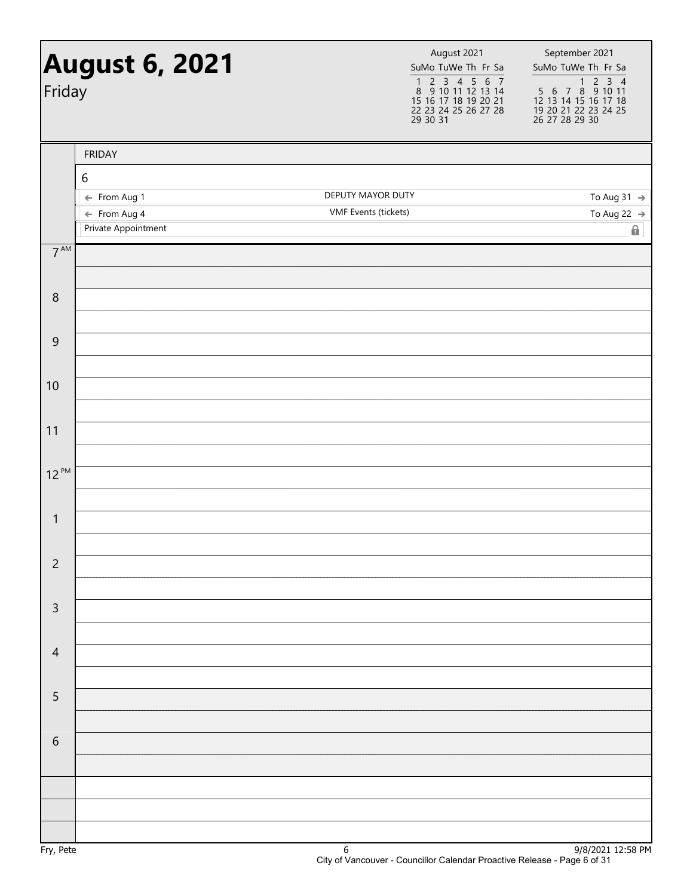| Friday          | <b>August 6, 2021</b>                   | August 2021<br>SuMo TuWe Th Fr Sa<br>$\begin{array}{cccccc} 1 & 2 & 3 & 4 & 5 & 6 & 7 \\ 8 & 9 & 10 & 11 & 12 & 13 & 14 \end{array}$<br>15 16 17 18 19 20 21<br>22 23 24 25 26 27 28<br>29 30 31 | September 2021<br>SuMo TuWe Th Fr Sa<br>1 2 3 4<br>5 6 7 8 9 10 11<br>12 13 14 15 16 17 18<br>19 20 21 22 23 24 25<br>26 27 28 29 30 |
|-----------------|-----------------------------------------|--------------------------------------------------------------------------------------------------------------------------------------------------------------------------------------------------|--------------------------------------------------------------------------------------------------------------------------------------|
|                 | <b>FRIDAY</b>                           |                                                                                                                                                                                                  |                                                                                                                                      |
|                 | $\boldsymbol{6}$                        |                                                                                                                                                                                                  |                                                                                                                                      |
|                 | ← From Aug 1<br>$\leftarrow$ From Aug 4 | DEPUTY MAYOR DUTY<br>VMF Events (tickets)                                                                                                                                                        | To Aug 31 $\rightarrow$<br>To Aug 22 $\rightarrow$                                                                                   |
|                 | Private Appointment                     |                                                                                                                                                                                                  | Ω.                                                                                                                                   |
| 7 <sup>AM</sup> |                                         |                                                                                                                                                                                                  |                                                                                                                                      |
|                 |                                         |                                                                                                                                                                                                  |                                                                                                                                      |
| $\,8\,$         |                                         |                                                                                                                                                                                                  |                                                                                                                                      |
|                 |                                         |                                                                                                                                                                                                  |                                                                                                                                      |
| $\mathsf 9$     |                                         |                                                                                                                                                                                                  |                                                                                                                                      |
| 10              |                                         |                                                                                                                                                                                                  |                                                                                                                                      |
|                 |                                         |                                                                                                                                                                                                  |                                                                                                                                      |
| 11              |                                         |                                                                                                                                                                                                  |                                                                                                                                      |
|                 |                                         |                                                                                                                                                                                                  |                                                                                                                                      |
| $12^{PM}$       |                                         |                                                                                                                                                                                                  |                                                                                                                                      |
|                 |                                         |                                                                                                                                                                                                  |                                                                                                                                      |
| $\mathbf{1}$    |                                         |                                                                                                                                                                                                  |                                                                                                                                      |
| $\overline{c}$  |                                         |                                                                                                                                                                                                  |                                                                                                                                      |
|                 |                                         |                                                                                                                                                                                                  |                                                                                                                                      |
| $\mathsf{3}$    |                                         |                                                                                                                                                                                                  |                                                                                                                                      |
|                 |                                         |                                                                                                                                                                                                  |                                                                                                                                      |
| $\overline{4}$  |                                         |                                                                                                                                                                                                  |                                                                                                                                      |
|                 |                                         |                                                                                                                                                                                                  |                                                                                                                                      |
| $\overline{5}$  |                                         |                                                                                                                                                                                                  |                                                                                                                                      |
| $\,$ 6 $\,$     |                                         |                                                                                                                                                                                                  |                                                                                                                                      |
|                 |                                         |                                                                                                                                                                                                  |                                                                                                                                      |
|                 |                                         |                                                                                                                                                                                                  |                                                                                                                                      |
|                 |                                         |                                                                                                                                                                                                  |                                                                                                                                      |
|                 |                                         |                                                                                                                                                                                                  |                                                                                                                                      |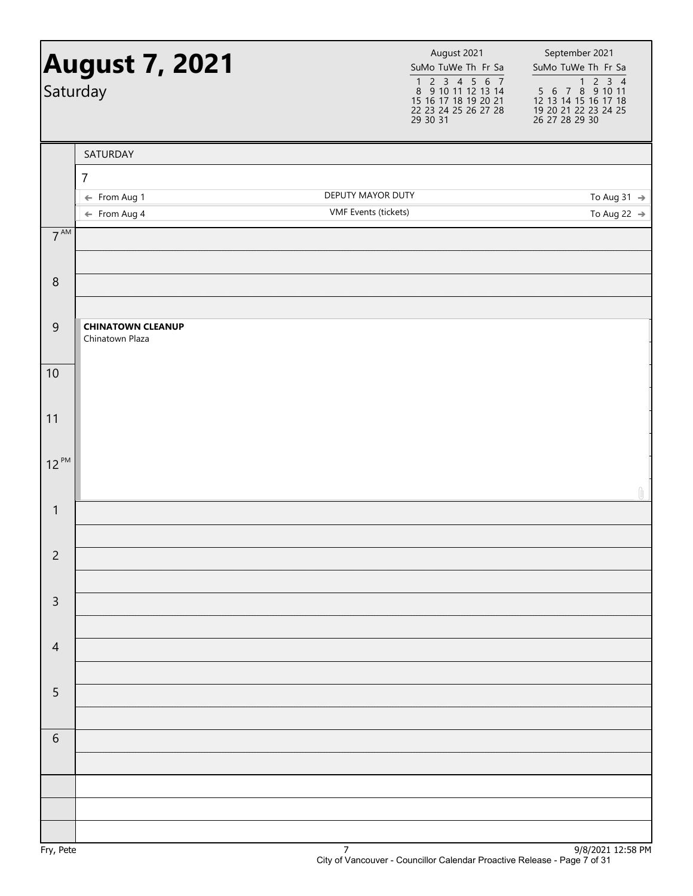|                 | <b>August 7, 2021</b><br>Saturday           | August 2021<br>SuMo TuWe Th Fr Sa<br>1 2 3 4 5 6 7<br>8 9 10 11 12 13 14<br>15 16 17 18 19 20 21<br>22 23 24 25 26 27 28<br>29 30 31 | September 2021<br>SuMo TuWe Th Fr Sa<br>5 6 7 8 9 10 11<br>12 13 14 15 16 17 18<br>19 20 21 22 23 24 25<br>26 27 28 29 30                                                   |
|-----------------|---------------------------------------------|--------------------------------------------------------------------------------------------------------------------------------------|-----------------------------------------------------------------------------------------------------------------------------------------------------------------------------|
|                 | SATURDAY                                    |                                                                                                                                      |                                                                                                                                                                             |
|                 | $\overline{7}$                              |                                                                                                                                      |                                                                                                                                                                             |
|                 | $\leftarrow$ From Aug 1                     | DEPUTY MAYOR DUTY<br><b>VMF</b> Events (tickets)                                                                                     | To Aug 31 $\rightarrow$                                                                                                                                                     |
| $7^{\text{AM}}$ | $\leftarrow$ From Aug 4                     |                                                                                                                                      | To Aug 22 $\rightarrow$                                                                                                                                                     |
|                 |                                             |                                                                                                                                      |                                                                                                                                                                             |
| $\, 8$          |                                             |                                                                                                                                      |                                                                                                                                                                             |
| $\overline{9}$  | <b>CHINATOWN CLEANUP</b><br>Chinatown Plaza |                                                                                                                                      |                                                                                                                                                                             |
| 10              |                                             |                                                                                                                                      |                                                                                                                                                                             |
| 11              |                                             |                                                                                                                                      |                                                                                                                                                                             |
| $12^{PM}$       |                                             |                                                                                                                                      | $[] \centering \includegraphics[width=0.47\textwidth]{figs/fig_10002} \caption{The 3D (blue) and the 4D (blue) are shown in the left and right.} \label{fig:fig:fig_10003}$ |
| $\mathbf{1}$    |                                             |                                                                                                                                      |                                                                                                                                                                             |
| $\overline{c}$  |                                             |                                                                                                                                      |                                                                                                                                                                             |
| $\mathsf{3}$    |                                             |                                                                                                                                      |                                                                                                                                                                             |
| $\overline{4}$  |                                             |                                                                                                                                      |                                                                                                                                                                             |
| $\overline{5}$  |                                             |                                                                                                                                      |                                                                                                                                                                             |
| $\sqrt{6}$      |                                             |                                                                                                                                      |                                                                                                                                                                             |
|                 |                                             |                                                                                                                                      |                                                                                                                                                                             |
|                 |                                             |                                                                                                                                      |                                                                                                                                                                             |
|                 |                                             |                                                                                                                                      | 101222                                                                                                                                                                      |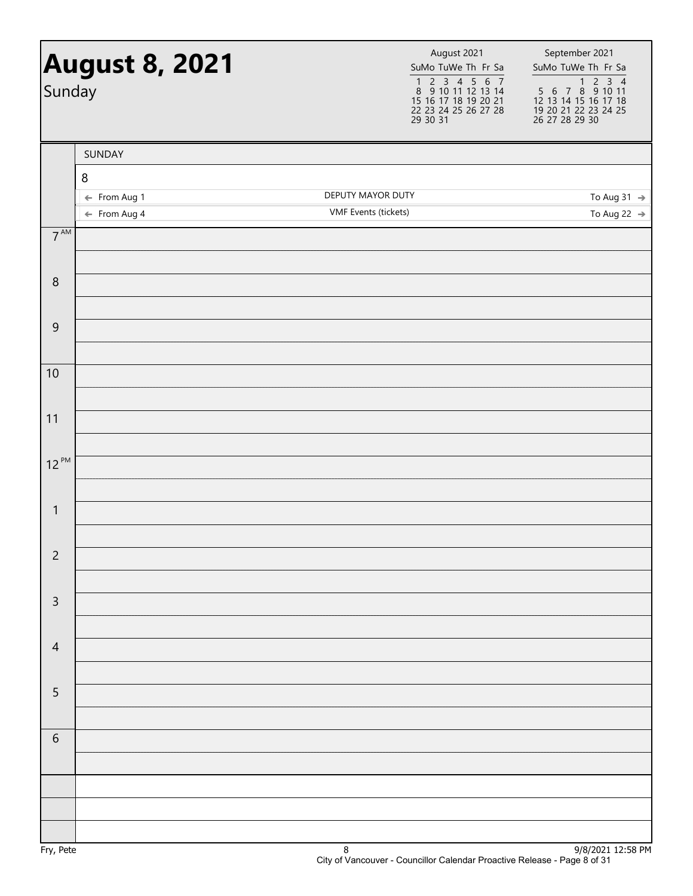| Sunday          | <b>August 8, 2021</b>                   | August 2021<br>SuMo TuWe Th Fr Sa<br>1 2 3 4 5 6 7<br>8 9 10 11 12 13 14<br>15 16 17 18 19 20 21<br>22 23 24 25 26 27 28<br>29 30 31 | September 2021<br>SuMo TuWe Th Fr Sa<br>1 2 3 4<br>5 6 7 8 9 10 11<br>12 13 14 15 16 17 18<br>19 20 21 22 23 24 25<br>26 27 28 29 30 |
|-----------------|-----------------------------------------|--------------------------------------------------------------------------------------------------------------------------------------|--------------------------------------------------------------------------------------------------------------------------------------|
|                 | SUNDAY                                  |                                                                                                                                      |                                                                                                                                      |
|                 | $\,8\,$                                 |                                                                                                                                      |                                                                                                                                      |
|                 | ← From Aug 1<br>$\leftarrow$ From Aug 4 | DEPUTY MAYOR DUTY<br><b>VMF</b> Events (tickets)                                                                                     | To Aug 31 $\rightarrow$<br>To Aug 22 $\rightarrow$                                                                                   |
| $7^{\text{AM}}$ |                                         |                                                                                                                                      |                                                                                                                                      |
| 8               |                                         |                                                                                                                                      |                                                                                                                                      |
|                 |                                         |                                                                                                                                      |                                                                                                                                      |
| 9               |                                         |                                                                                                                                      |                                                                                                                                      |
| 10              |                                         |                                                                                                                                      |                                                                                                                                      |
| 11              |                                         |                                                                                                                                      |                                                                                                                                      |
|                 |                                         |                                                                                                                                      |                                                                                                                                      |
| $12^{PM}$       |                                         |                                                                                                                                      |                                                                                                                                      |
| $\mathbf{1}$    |                                         |                                                                                                                                      |                                                                                                                                      |
| $\overline{c}$  |                                         |                                                                                                                                      |                                                                                                                                      |
|                 |                                         |                                                                                                                                      |                                                                                                                                      |
| 3               |                                         |                                                                                                                                      |                                                                                                                                      |
| $\overline{4}$  |                                         |                                                                                                                                      |                                                                                                                                      |
|                 |                                         |                                                                                                                                      |                                                                                                                                      |
| 5               |                                         |                                                                                                                                      |                                                                                                                                      |
| 6               |                                         |                                                                                                                                      |                                                                                                                                      |
|                 |                                         |                                                                                                                                      |                                                                                                                                      |
|                 |                                         |                                                                                                                                      |                                                                                                                                      |
|                 |                                         |                                                                                                                                      |                                                                                                                                      |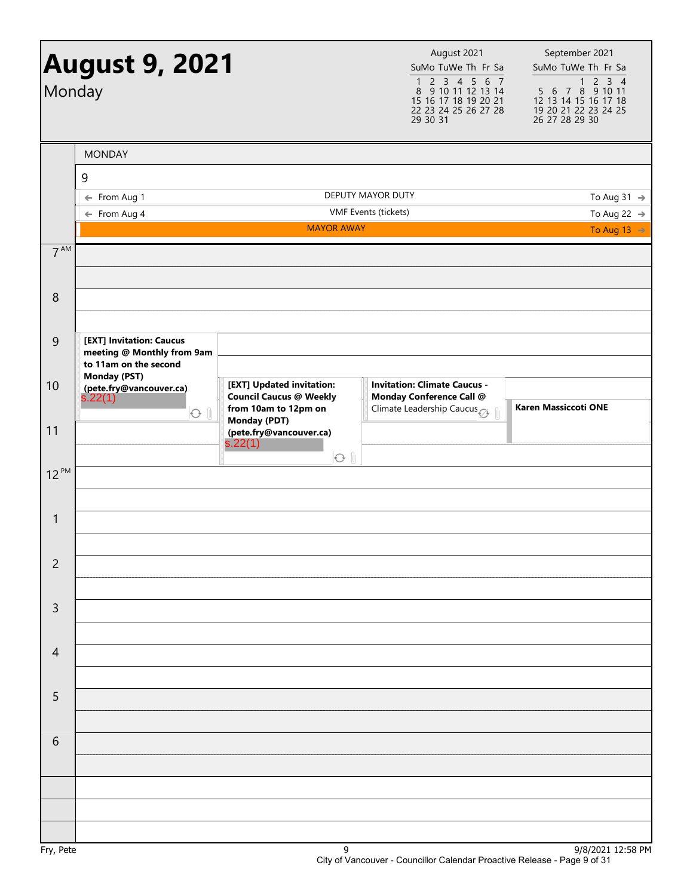| Monday          | <b>August 9, 2021</b>                                                           |                                                                                                            | August 2021<br>SuMo TuWe Th Fr Sa<br>1 2 3 4 5 6 7<br>8 9 10 11 12 13 14<br>15 16 17 18 19 20 21<br>22 23 24 25 26 27 28<br>29 30 31 | September 2021<br>SuMo TuWe Th Fr Sa<br>$\begin{array}{ c c c c c }\n\hline\n&1&2&3&4 \\ 5&6&7&8&9&10&11 \\ \hline\n&2&42&10&10&11\n\end{array}$<br>12 13 14 15 16 17 18<br>19 20 21 22 23 24 25<br>26 27 28 29 30 |
|-----------------|---------------------------------------------------------------------------------|------------------------------------------------------------------------------------------------------------|--------------------------------------------------------------------------------------------------------------------------------------|--------------------------------------------------------------------------------------------------------------------------------------------------------------------------------------------------------------------|
|                 | <b>MONDAY</b>                                                                   |                                                                                                            |                                                                                                                                      |                                                                                                                                                                                                                    |
|                 | 9                                                                               |                                                                                                            |                                                                                                                                      |                                                                                                                                                                                                                    |
|                 | ← From Aug 1<br>$\leftarrow$ From Aug 4                                         |                                                                                                            | <b>DEPUTY MAYOR DUTY</b><br>VMF Events (tickets)                                                                                     | To Aug 31 $\rightarrow$<br>To Aug 22 $\rightarrow$                                                                                                                                                                 |
|                 |                                                                                 | <b>MAYOR AWAY</b>                                                                                          |                                                                                                                                      | To Aug 13 $\rightarrow$                                                                                                                                                                                            |
| 7 <sup>AM</sup> |                                                                                 |                                                                                                            |                                                                                                                                      |                                                                                                                                                                                                                    |
| 8               |                                                                                 |                                                                                                            |                                                                                                                                      |                                                                                                                                                                                                                    |
| 9               | [EXT] Invitation: Caucus<br>meeting @ Monthly from 9am<br>to 11am on the second |                                                                                                            |                                                                                                                                      |                                                                                                                                                                                                                    |
| 10              | <b>Monday (PST)</b><br>(pete.fry@vancouver.ca)<br>s.22(1)<br>O <sub>0</sub>     | [EXT] Updated invitation:<br><b>Council Caucus @ Weekly</b><br>from 10am to 12pm on<br><b>Monday (PDT)</b> | <b>Invitation: Climate Caucus -</b><br>Monday Conference Call @<br>Climate Leadership Caucus                                         | <b>Karen Massiccoti ONE</b>                                                                                                                                                                                        |
| 11              |                                                                                 | (pete.fry@vancouver.ca)<br>s.22(1)<br>$O$ $\parallel$                                                      |                                                                                                                                      |                                                                                                                                                                                                                    |
| $12^{PM}$       |                                                                                 |                                                                                                            |                                                                                                                                      |                                                                                                                                                                                                                    |
| $\mathbf{1}$    |                                                                                 |                                                                                                            |                                                                                                                                      |                                                                                                                                                                                                                    |
| $\overline{c}$  |                                                                                 |                                                                                                            |                                                                                                                                      |                                                                                                                                                                                                                    |
| $\mathsf{3}$    |                                                                                 |                                                                                                            |                                                                                                                                      |                                                                                                                                                                                                                    |
| $\overline{4}$  |                                                                                 |                                                                                                            |                                                                                                                                      |                                                                                                                                                                                                                    |
| 5               |                                                                                 |                                                                                                            |                                                                                                                                      |                                                                                                                                                                                                                    |
| 6               |                                                                                 |                                                                                                            |                                                                                                                                      |                                                                                                                                                                                                                    |
|                 |                                                                                 |                                                                                                            |                                                                                                                                      |                                                                                                                                                                                                                    |
|                 |                                                                                 |                                                                                                            |                                                                                                                                      |                                                                                                                                                                                                                    |
|                 |                                                                                 |                                                                                                            |                                                                                                                                      |                                                                                                                                                                                                                    |
| EnI             |                                                                                 | $\Omega$                                                                                                   |                                                                                                                                      | $0/0/2021$ 12.50 DM                                                                                                                                                                                                |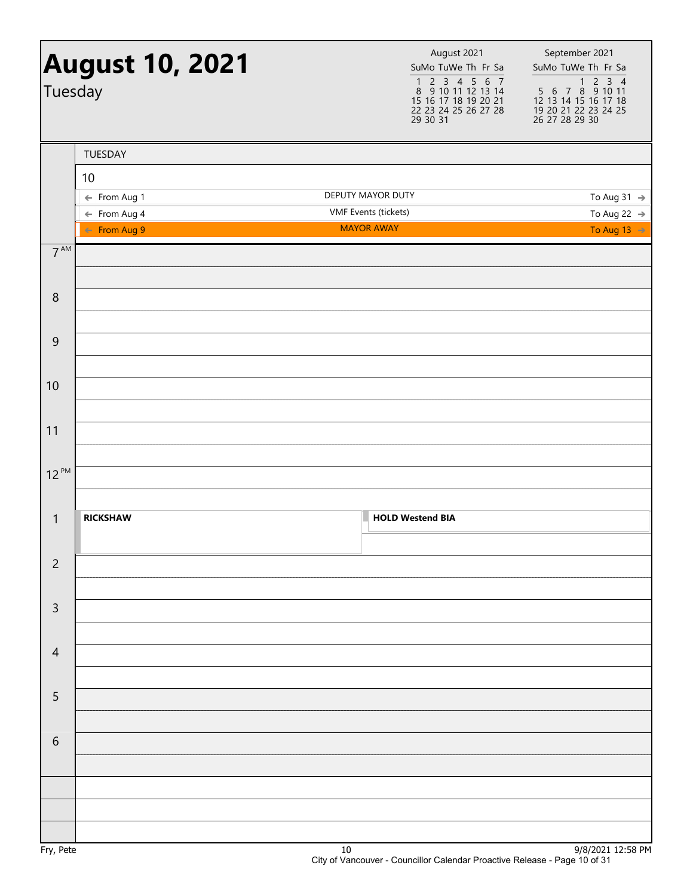| Tuesday         | <b>August 10, 2021</b>                  | August 2021<br>SuMo TuWe Th Fr Sa<br>$\begin{array}{cccccc} 1 & 2 & 3 & 4 & 5 & 6 & 7 \\ 8 & 9 & 10 & 11 & 12 & 13 & 14 \end{array}$<br>15 16 17 18 19 20 21<br>22 23 24 25 26 27 28<br>29 30 31 | September 2021<br>SuMo TuWe Th Fr Sa<br>$\begin{array}{@{}c@{\hspace{1em}}c@{\hspace{1em}}c@{\hspace{1em}}c@{\hspace{1em}}c@{\hspace{1em}}c@{\hspace{1em}}c@{\hspace{1em}}c@{\hspace{1em}}c@{\hspace{1em}}c@{\hspace{1em}}c@{\hspace{1em}}c@{\hspace{1em}}c@{\hspace{1em}}c@{\hspace{1em}}c@{\hspace{1em}}c@{\hspace{1em}}c@{\hspace{1em}}c@{\hspace{1em}}c@{\hspace{1em}}c@{\hspace{1em}}c@{\hspace{1em}}c@{\hspace{1em}}c@{\hspace{1em}}c@{\hspace{$<br>12 13 14 15 16 17 18<br>19 20 21 22 23 24 25<br>26 27 28 29 30 |
|-----------------|-----------------------------------------|--------------------------------------------------------------------------------------------------------------------------------------------------------------------------------------------------|--------------------------------------------------------------------------------------------------------------------------------------------------------------------------------------------------------------------------------------------------------------------------------------------------------------------------------------------------------------------------------------------------------------------------------------------------------------------------------------------------------------------------|
|                 | TUESDAY                                 |                                                                                                                                                                                                  |                                                                                                                                                                                                                                                                                                                                                                                                                                                                                                                          |
|                 | 10                                      |                                                                                                                                                                                                  |                                                                                                                                                                                                                                                                                                                                                                                                                                                                                                                          |
|                 | ← From Aug 1                            | DEPUTY MAYOR DUTY                                                                                                                                                                                | To Aug 31 $\rightarrow$                                                                                                                                                                                                                                                                                                                                                                                                                                                                                                  |
|                 | $\leftarrow$ From Aug 4<br>← From Aug 9 | VMF Events (tickets)<br><b>MAYOR AWAY</b>                                                                                                                                                        | To Aug 22 $\rightarrow$<br>To Aug 13 $\rightarrow$                                                                                                                                                                                                                                                                                                                                                                                                                                                                       |
| $7^{\text{AM}}$ |                                         |                                                                                                                                                                                                  |                                                                                                                                                                                                                                                                                                                                                                                                                                                                                                                          |
| $\,8\,$         |                                         |                                                                                                                                                                                                  |                                                                                                                                                                                                                                                                                                                                                                                                                                                                                                                          |
| $\mathsf 9$     |                                         |                                                                                                                                                                                                  |                                                                                                                                                                                                                                                                                                                                                                                                                                                                                                                          |
|                 |                                         |                                                                                                                                                                                                  |                                                                                                                                                                                                                                                                                                                                                                                                                                                                                                                          |
| 10              |                                         |                                                                                                                                                                                                  |                                                                                                                                                                                                                                                                                                                                                                                                                                                                                                                          |
| 11              |                                         |                                                                                                                                                                                                  |                                                                                                                                                                                                                                                                                                                                                                                                                                                                                                                          |
| $12^{PM}$       |                                         |                                                                                                                                                                                                  |                                                                                                                                                                                                                                                                                                                                                                                                                                                                                                                          |
| $\mathbf{1}$    | <b>RICKSHAW</b>                         | <b>HOLD Westend BIA</b>                                                                                                                                                                          |                                                                                                                                                                                                                                                                                                                                                                                                                                                                                                                          |
| $\overline{c}$  |                                         |                                                                                                                                                                                                  |                                                                                                                                                                                                                                                                                                                                                                                                                                                                                                                          |
| $\mathsf{3}$    |                                         |                                                                                                                                                                                                  |                                                                                                                                                                                                                                                                                                                                                                                                                                                                                                                          |
| $\overline{4}$  |                                         |                                                                                                                                                                                                  |                                                                                                                                                                                                                                                                                                                                                                                                                                                                                                                          |
| 5               |                                         |                                                                                                                                                                                                  |                                                                                                                                                                                                                                                                                                                                                                                                                                                                                                                          |
| $\sqrt{6}$      |                                         |                                                                                                                                                                                                  |                                                                                                                                                                                                                                                                                                                                                                                                                                                                                                                          |
|                 |                                         |                                                                                                                                                                                                  |                                                                                                                                                                                                                                                                                                                                                                                                                                                                                                                          |
|                 |                                         |                                                                                                                                                                                                  |                                                                                                                                                                                                                                                                                                                                                                                                                                                                                                                          |
|                 |                                         |                                                                                                                                                                                                  |                                                                                                                                                                                                                                                                                                                                                                                                                                                                                                                          |
| Fry, Pete       |                                         | $10\,$                                                                                                                                                                                           | 9/8/2021 12:58 PM                                                                                                                                                                                                                                                                                                                                                                                                                                                                                                        |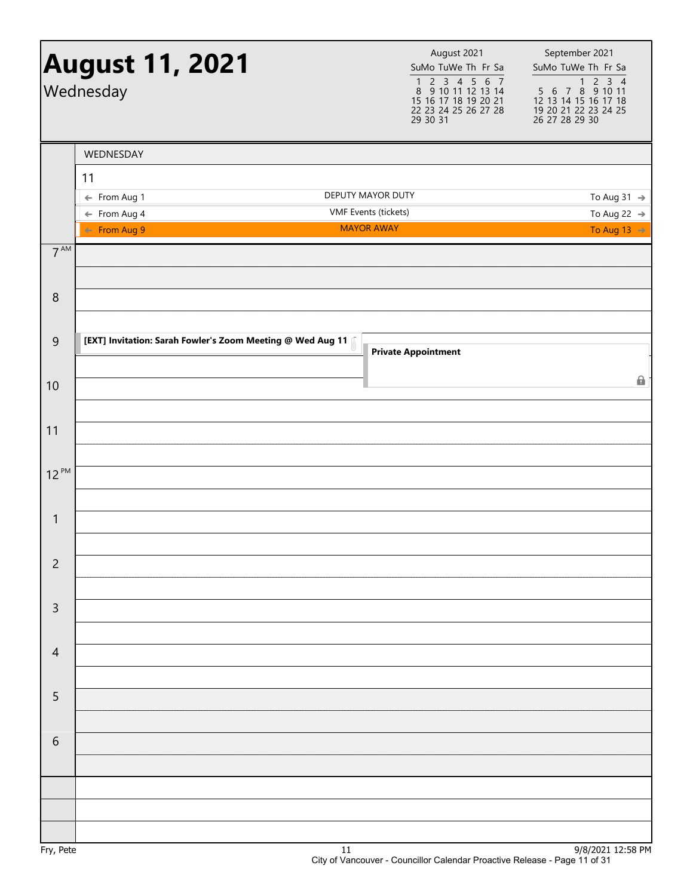|                  | <b>August 11, 2021</b><br>Wednesday                        | August 2021<br>SuMo TuWe Th Fr Sa<br>$\begin{array}{cccccc}\n1 & 2 & 3 & 4 & 5 & 6 & 7 \\ 8 & 9 & 10 & 11 & 12 & 13 & 14\n\end{array}$<br>15 16 17 18 19 20 21<br>22 23 24 25 26 27 28<br>29 30 31 | September 2021<br>SuMo TuWe Th Fr Sa<br>$\begin{array}{@{}c@{\hspace{1em}}c@{\hspace{1em}}c@{\hspace{1em}}c@{\hspace{1em}}c@{\hspace{1em}}c@{\hspace{1em}}c@{\hspace{1em}}c@{\hspace{1em}}c@{\hspace{1em}}c@{\hspace{1em}}c@{\hspace{1em}}c@{\hspace{1em}}c@{\hspace{1em}}c@{\hspace{1em}}c@{\hspace{1em}}c@{\hspace{1em}}c@{\hspace{1em}}c@{\hspace{1em}}c@{\hspace{1em}}c@{\hspace{1em}}c@{\hspace{1em}}c@{\hspace{1em}}c@{\hspace{1em}}c@{\hspace{$<br>12 13 14 15 16 17 18<br>19 20 21 22 23 24 25<br>26 27 28 29 30 |
|------------------|------------------------------------------------------------|----------------------------------------------------------------------------------------------------------------------------------------------------------------------------------------------------|--------------------------------------------------------------------------------------------------------------------------------------------------------------------------------------------------------------------------------------------------------------------------------------------------------------------------------------------------------------------------------------------------------------------------------------------------------------------------------------------------------------------------|
|                  | WEDNESDAY                                                  |                                                                                                                                                                                                    |                                                                                                                                                                                                                                                                                                                                                                                                                                                                                                                          |
|                  | 11                                                         |                                                                                                                                                                                                    |                                                                                                                                                                                                                                                                                                                                                                                                                                                                                                                          |
|                  | ← From Aug 1<br>$\leftarrow$ From Aug 4                    | DEPUTY MAYOR DUTY<br>VMF Events (tickets)                                                                                                                                                          | To Aug 31 $\rightarrow$<br>To Aug 22 $\rightarrow$                                                                                                                                                                                                                                                                                                                                                                                                                                                                       |
|                  | ← From Aug 9                                               | <b>MAYOR AWAY</b>                                                                                                                                                                                  | To Aug 13 $\Rightarrow$                                                                                                                                                                                                                                                                                                                                                                                                                                                                                                  |
| $7^{\text{AM}}$  |                                                            |                                                                                                                                                                                                    |                                                                                                                                                                                                                                                                                                                                                                                                                                                                                                                          |
|                  |                                                            |                                                                                                                                                                                                    |                                                                                                                                                                                                                                                                                                                                                                                                                                                                                                                          |
| $\boldsymbol{8}$ |                                                            |                                                                                                                                                                                                    |                                                                                                                                                                                                                                                                                                                                                                                                                                                                                                                          |
|                  |                                                            |                                                                                                                                                                                                    |                                                                                                                                                                                                                                                                                                                                                                                                                                                                                                                          |
| $\overline{9}$   | [EXT] Invitation: Sarah Fowler's Zoom Meeting @ Wed Aug 11 |                                                                                                                                                                                                    |                                                                                                                                                                                                                                                                                                                                                                                                                                                                                                                          |
|                  |                                                            | <b>Private Appointment</b>                                                                                                                                                                         |                                                                                                                                                                                                                                                                                                                                                                                                                                                                                                                          |
| 10               |                                                            |                                                                                                                                                                                                    | 6                                                                                                                                                                                                                                                                                                                                                                                                                                                                                                                        |
|                  |                                                            |                                                                                                                                                                                                    |                                                                                                                                                                                                                                                                                                                                                                                                                                                                                                                          |
| 11               |                                                            |                                                                                                                                                                                                    |                                                                                                                                                                                                                                                                                                                                                                                                                                                                                                                          |
|                  |                                                            |                                                                                                                                                                                                    |                                                                                                                                                                                                                                                                                                                                                                                                                                                                                                                          |
| $12^{PM}$        |                                                            |                                                                                                                                                                                                    |                                                                                                                                                                                                                                                                                                                                                                                                                                                                                                                          |
|                  |                                                            |                                                                                                                                                                                                    |                                                                                                                                                                                                                                                                                                                                                                                                                                                                                                                          |
| $\mathbf{1}$     |                                                            |                                                                                                                                                                                                    |                                                                                                                                                                                                                                                                                                                                                                                                                                                                                                                          |
|                  |                                                            |                                                                                                                                                                                                    |                                                                                                                                                                                                                                                                                                                                                                                                                                                                                                                          |
| $\overline{c}$   |                                                            |                                                                                                                                                                                                    |                                                                                                                                                                                                                                                                                                                                                                                                                                                                                                                          |
|                  |                                                            |                                                                                                                                                                                                    |                                                                                                                                                                                                                                                                                                                                                                                                                                                                                                                          |
| $\mathsf{3}$     |                                                            |                                                                                                                                                                                                    |                                                                                                                                                                                                                                                                                                                                                                                                                                                                                                                          |
|                  |                                                            |                                                                                                                                                                                                    |                                                                                                                                                                                                                                                                                                                                                                                                                                                                                                                          |
| $\overline{4}$   |                                                            |                                                                                                                                                                                                    |                                                                                                                                                                                                                                                                                                                                                                                                                                                                                                                          |
|                  |                                                            |                                                                                                                                                                                                    |                                                                                                                                                                                                                                                                                                                                                                                                                                                                                                                          |
| 5                |                                                            |                                                                                                                                                                                                    |                                                                                                                                                                                                                                                                                                                                                                                                                                                                                                                          |
|                  |                                                            |                                                                                                                                                                                                    |                                                                                                                                                                                                                                                                                                                                                                                                                                                                                                                          |
| $\sqrt{6}$       |                                                            |                                                                                                                                                                                                    |                                                                                                                                                                                                                                                                                                                                                                                                                                                                                                                          |
|                  |                                                            |                                                                                                                                                                                                    |                                                                                                                                                                                                                                                                                                                                                                                                                                                                                                                          |
|                  |                                                            |                                                                                                                                                                                                    |                                                                                                                                                                                                                                                                                                                                                                                                                                                                                                                          |
|                  |                                                            |                                                                                                                                                                                                    |                                                                                                                                                                                                                                                                                                                                                                                                                                                                                                                          |
|                  |                                                            |                                                                                                                                                                                                    |                                                                                                                                                                                                                                                                                                                                                                                                                                                                                                                          |
|                  |                                                            |                                                                                                                                                                                                    | 101222                                                                                                                                                                                                                                                                                                                                                                                                                                                                                                                   |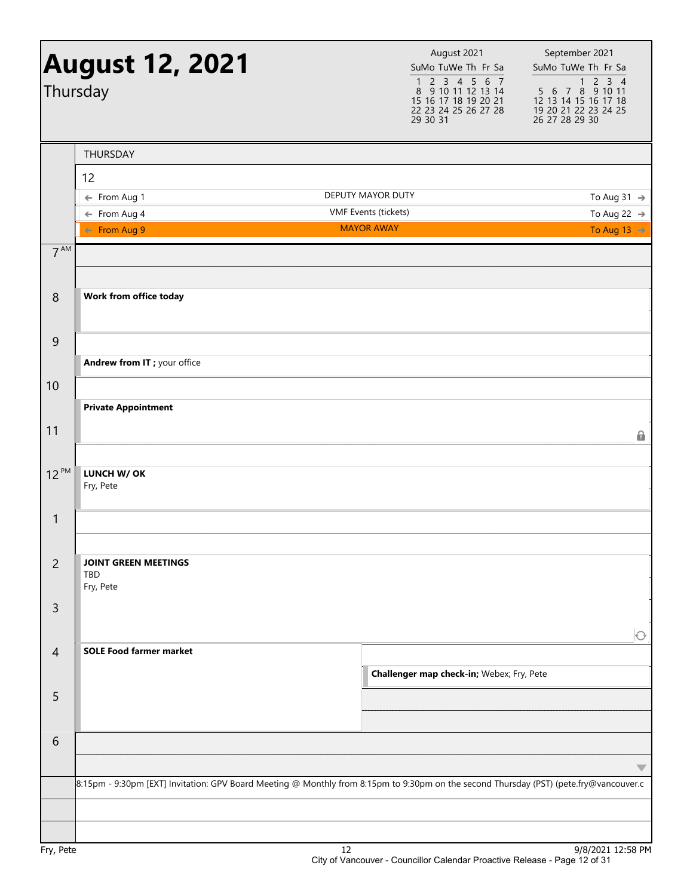|                 | <b>August 12, 2021</b><br>Thursday                                                                                                     |                                           | August 2021<br>SuMo TuWe Th Fr Sa<br>$2$ 3 4 5 6 7<br>$\mathbf{1}$<br>8 9 10 11 12 13 14<br>15 16 17 18 19 20 21<br>22 23 24 25 26 27 28<br>29 30 31 | September 2021<br>SuMo TuWe Th Fr Sa<br>$\begin{array}{@{}c@{\hspace{1em}}c@{\hspace{1em}}c@{\hspace{1em}}c@{\hspace{1em}}c@{\hspace{1em}}c@{\hspace{1em}}c@{\hspace{1em}}c@{\hspace{1em}}c@{\hspace{1em}}c@{\hspace{1em}}c@{\hspace{1em}}c@{\hspace{1em}}c@{\hspace{1em}}c@{\hspace{1em}}c@{\hspace{1em}}c@{\hspace{1em}}c@{\hspace{1em}}c@{\hspace{1em}}c@{\hspace{1em}}c@{\hspace{1em}}c@{\hspace{1em}}c@{\hspace{1em}}c@{\hspace{1em}}c@{\hspace{$<br>12 13 14 15 16 17 18<br>19 20 21 22 23 24 25<br>26 27 28 29 30 |
|-----------------|----------------------------------------------------------------------------------------------------------------------------------------|-------------------------------------------|------------------------------------------------------------------------------------------------------------------------------------------------------|--------------------------------------------------------------------------------------------------------------------------------------------------------------------------------------------------------------------------------------------------------------------------------------------------------------------------------------------------------------------------------------------------------------------------------------------------------------------------------------------------------------------------|
|                 | THURSDAY                                                                                                                               |                                           |                                                                                                                                                      |                                                                                                                                                                                                                                                                                                                                                                                                                                                                                                                          |
|                 | 12                                                                                                                                     |                                           |                                                                                                                                                      |                                                                                                                                                                                                                                                                                                                                                                                                                                                                                                                          |
|                 | ← From Aug 1                                                                                                                           | DEPUTY MAYOR DUTY                         |                                                                                                                                                      | To Aug 31 $\rightarrow$                                                                                                                                                                                                                                                                                                                                                                                                                                                                                                  |
|                 | $\leftarrow$ From Aug 4                                                                                                                | VMF Events (tickets)<br><b>MAYOR AWAY</b> |                                                                                                                                                      | To Aug 22 $\rightarrow$                                                                                                                                                                                                                                                                                                                                                                                                                                                                                                  |
|                 | $\leftarrow$ From Aug 9                                                                                                                |                                           |                                                                                                                                                      | To Aug 13 $\rightarrow$                                                                                                                                                                                                                                                                                                                                                                                                                                                                                                  |
| 7 <sup>AM</sup> |                                                                                                                                        |                                           |                                                                                                                                                      |                                                                                                                                                                                                                                                                                                                                                                                                                                                                                                                          |
| 8               | Work from office today                                                                                                                 |                                           |                                                                                                                                                      |                                                                                                                                                                                                                                                                                                                                                                                                                                                                                                                          |
| $\overline{9}$  |                                                                                                                                        |                                           |                                                                                                                                                      |                                                                                                                                                                                                                                                                                                                                                                                                                                                                                                                          |
|                 | Andrew from IT ; your office                                                                                                           |                                           |                                                                                                                                                      |                                                                                                                                                                                                                                                                                                                                                                                                                                                                                                                          |
| 10              |                                                                                                                                        |                                           |                                                                                                                                                      |                                                                                                                                                                                                                                                                                                                                                                                                                                                                                                                          |
|                 | <b>Private Appointment</b>                                                                                                             |                                           |                                                                                                                                                      |                                                                                                                                                                                                                                                                                                                                                                                                                                                                                                                          |
| 11              |                                                                                                                                        |                                           |                                                                                                                                                      |                                                                                                                                                                                                                                                                                                                                                                                                                                                                                                                          |
|                 |                                                                                                                                        |                                           |                                                                                                                                                      | 8                                                                                                                                                                                                                                                                                                                                                                                                                                                                                                                        |
| $12^{PM}$       | LUNCH W/ OK<br>Fry, Pete                                                                                                               |                                           |                                                                                                                                                      |                                                                                                                                                                                                                                                                                                                                                                                                                                                                                                                          |
| $\mathbf{1}$    |                                                                                                                                        |                                           |                                                                                                                                                      |                                                                                                                                                                                                                                                                                                                                                                                                                                                                                                                          |
|                 |                                                                                                                                        |                                           |                                                                                                                                                      |                                                                                                                                                                                                                                                                                                                                                                                                                                                                                                                          |
| $\overline{2}$  | <b>JOINT GREEN MEETINGS</b><br><b>TBD</b><br>Fry, Pete                                                                                 |                                           |                                                                                                                                                      |                                                                                                                                                                                                                                                                                                                                                                                                                                                                                                                          |
| $\mathsf{3}$    |                                                                                                                                        |                                           |                                                                                                                                                      |                                                                                                                                                                                                                                                                                                                                                                                                                                                                                                                          |
|                 |                                                                                                                                        |                                           |                                                                                                                                                      |                                                                                                                                                                                                                                                                                                                                                                                                                                                                                                                          |
| $\overline{4}$  | <b>SOLE Food farmer market</b>                                                                                                         |                                           |                                                                                                                                                      | $\bigcirc$                                                                                                                                                                                                                                                                                                                                                                                                                                                                                                               |
|                 |                                                                                                                                        |                                           | Challenger map check-in; Webex; Fry, Pete                                                                                                            |                                                                                                                                                                                                                                                                                                                                                                                                                                                                                                                          |
| 5               |                                                                                                                                        |                                           |                                                                                                                                                      |                                                                                                                                                                                                                                                                                                                                                                                                                                                                                                                          |
|                 |                                                                                                                                        |                                           |                                                                                                                                                      |                                                                                                                                                                                                                                                                                                                                                                                                                                                                                                                          |
|                 |                                                                                                                                        |                                           |                                                                                                                                                      |                                                                                                                                                                                                                                                                                                                                                                                                                                                                                                                          |
| 6               |                                                                                                                                        |                                           |                                                                                                                                                      |                                                                                                                                                                                                                                                                                                                                                                                                                                                                                                                          |
|                 |                                                                                                                                        |                                           |                                                                                                                                                      | $\overline{\phantom{a}}$                                                                                                                                                                                                                                                                                                                                                                                                                                                                                                 |
|                 | 8:15pm - 9:30pm [EXT] Invitation: GPV Board Meeting @ Monthly from 8:15pm to 9:30pm on the second Thursday (PST) (pete.fry@vancouver.c |                                           |                                                                                                                                                      |                                                                                                                                                                                                                                                                                                                                                                                                                                                                                                                          |
|                 |                                                                                                                                        |                                           |                                                                                                                                                      |                                                                                                                                                                                                                                                                                                                                                                                                                                                                                                                          |
|                 |                                                                                                                                        |                                           |                                                                                                                                                      |                                                                                                                                                                                                                                                                                                                                                                                                                                                                                                                          |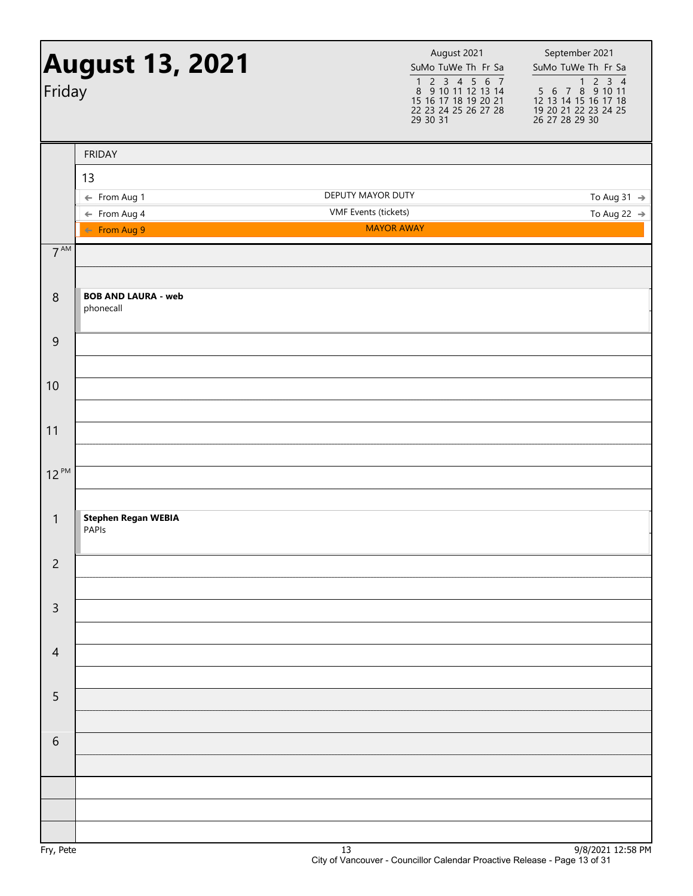| Friday          | <b>August 13, 2021</b>                  | August 2021<br>SuMo TuWe Th Fr Sa<br>$\begin{array}{cccccc}\n1 & 2 & 3 & 4 & 5 & 6 & 7 \\ 8 & 9 & 10 & 11 & 12 & 13 & 14\n\end{array}$<br>15 16 17 18 19 20 21<br>22 23 24 25 26 27 28<br>29 30 31 | September 2021<br>SuMo TuWe Th Fr Sa<br>1 2 3 4<br>5 6 7 8 9 10 11<br>12 13 14 15 16 17 18<br>19 20 21 22 23 24 25<br>26 27 28 29 30 |
|-----------------|-----------------------------------------|----------------------------------------------------------------------------------------------------------------------------------------------------------------------------------------------------|--------------------------------------------------------------------------------------------------------------------------------------|
|                 | <b>FRIDAY</b>                           |                                                                                                                                                                                                    |                                                                                                                                      |
|                 | 13                                      |                                                                                                                                                                                                    |                                                                                                                                      |
|                 | ← From Aug 1                            | DEPUTY MAYOR DUTY                                                                                                                                                                                  | To Aug 31 $\rightarrow$                                                                                                              |
|                 | $\leftarrow$ From Aug 4                 | VMF Events (tickets)                                                                                                                                                                               | To Aug 22 $\rightarrow$                                                                                                              |
|                 | ← From Aug 9                            | <b>MAYOR AWAY</b>                                                                                                                                                                                  |                                                                                                                                      |
| $7^{\text{AM}}$ |                                         |                                                                                                                                                                                                    |                                                                                                                                      |
| $\,8\,$         | <b>BOB AND LAURA - web</b><br>phonecall |                                                                                                                                                                                                    |                                                                                                                                      |
| $\mathsf 9$     |                                         |                                                                                                                                                                                                    |                                                                                                                                      |
| 10              |                                         |                                                                                                                                                                                                    |                                                                                                                                      |
| 11              |                                         |                                                                                                                                                                                                    |                                                                                                                                      |
| $12^{PM}$       |                                         |                                                                                                                                                                                                    |                                                                                                                                      |
| $\mathbf{1}$    | <b>Stephen Regan WEBIA</b><br>PAPIs     |                                                                                                                                                                                                    |                                                                                                                                      |
| $\overline{c}$  |                                         |                                                                                                                                                                                                    |                                                                                                                                      |
| $\mathsf{3}$    |                                         |                                                                                                                                                                                                    |                                                                                                                                      |
| $\overline{4}$  |                                         |                                                                                                                                                                                                    |                                                                                                                                      |
| 5               |                                         |                                                                                                                                                                                                    |                                                                                                                                      |
| $\,$ 6 $\,$     |                                         |                                                                                                                                                                                                    |                                                                                                                                      |
|                 |                                         |                                                                                                                                                                                                    |                                                                                                                                      |
|                 |                                         |                                                                                                                                                                                                    |                                                                                                                                      |
|                 |                                         |                                                                                                                                                                                                    |                                                                                                                                      |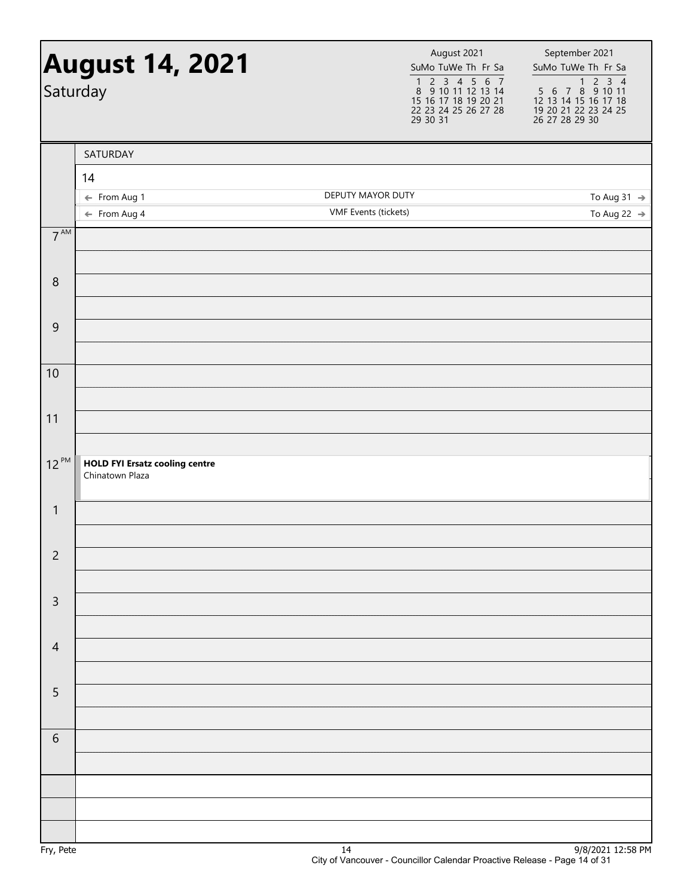|                 | <b>August 14, 2021</b><br>Saturday                       | August 2021<br>SuMo TuWe Th Fr Sa<br>$\begin{array}{cccccc} 1 & 2 & 3 & 4 & 5 & 6 & 7 \\ 8 & 9 & 10 & 11 & 12 & 13 & 14 \end{array}$<br>15 16 17 18 19 20 21<br>22 23 24 25 26 27 28<br>29 30 31 | September 2021<br>SuMo TuWe Th Fr Sa<br>1 2 3 4<br>5 6 7 8 9 10 11<br>12 13 14 15 16 17 18<br>19 20 21 22 23 24 25<br>26 27 28 29 30 |
|-----------------|----------------------------------------------------------|--------------------------------------------------------------------------------------------------------------------------------------------------------------------------------------------------|--------------------------------------------------------------------------------------------------------------------------------------|
|                 | SATURDAY                                                 |                                                                                                                                                                                                  |                                                                                                                                      |
|                 | 14                                                       |                                                                                                                                                                                                  |                                                                                                                                      |
|                 | ← From Aug 1                                             | DEPUTY MAYOR DUTY                                                                                                                                                                                | To Aug 31 $\rightarrow$                                                                                                              |
|                 | $\leftarrow$ From Aug 4                                  | <b>VMF</b> Events (tickets)                                                                                                                                                                      | To Aug 22 $\rightarrow$                                                                                                              |
| $7^{\text{AM}}$ |                                                          |                                                                                                                                                                                                  |                                                                                                                                      |
| $\,8\,$         |                                                          |                                                                                                                                                                                                  |                                                                                                                                      |
| $\overline{9}$  |                                                          |                                                                                                                                                                                                  |                                                                                                                                      |
|                 |                                                          |                                                                                                                                                                                                  |                                                                                                                                      |
| 10              |                                                          |                                                                                                                                                                                                  |                                                                                                                                      |
| 11              |                                                          |                                                                                                                                                                                                  |                                                                                                                                      |
| $12^{PM}$       | <b>HOLD FYI Ersatz cooling centre</b><br>Chinatown Plaza |                                                                                                                                                                                                  |                                                                                                                                      |
| $\mathbf{1}$    |                                                          |                                                                                                                                                                                                  |                                                                                                                                      |
| $\overline{c}$  |                                                          |                                                                                                                                                                                                  |                                                                                                                                      |
|                 |                                                          |                                                                                                                                                                                                  |                                                                                                                                      |
| $\mathsf{3}$    |                                                          |                                                                                                                                                                                                  |                                                                                                                                      |
| $\overline{4}$  |                                                          |                                                                                                                                                                                                  |                                                                                                                                      |
| 5               |                                                          |                                                                                                                                                                                                  |                                                                                                                                      |
| 6               |                                                          |                                                                                                                                                                                                  |                                                                                                                                      |
|                 |                                                          |                                                                                                                                                                                                  |                                                                                                                                      |
|                 |                                                          |                                                                                                                                                                                                  |                                                                                                                                      |
|                 |                                                          |                                                                                                                                                                                                  |                                                                                                                                      |
| Fry, Pete       |                                                          | 14                                                                                                                                                                                               | 9/8/2021 12:58 PM                                                                                                                    |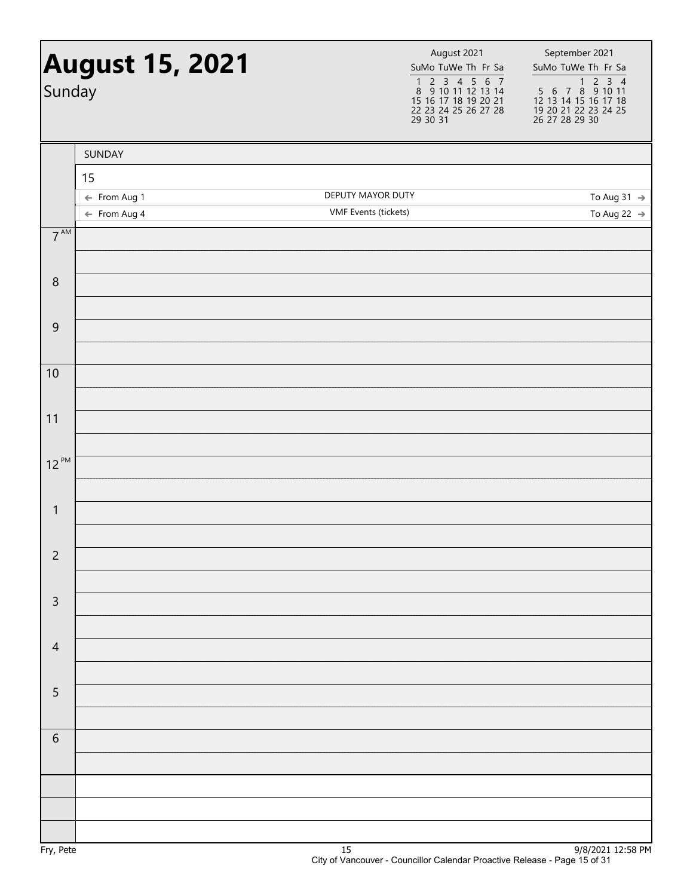| <b>August 15, 2021</b><br>Sunday |                                         | August 2021<br>SuMo TuWe Th Fr Sa<br>$\begin{array}{cccccc} 1 & 2 & 3 & 4 & 5 & 6 & 7 \\ 8 & 9 & 10 & 11 & 12 & 13 & 14 \end{array}$<br>15 16 17 18 19 20 21<br>22 23 24 25 26 27 28<br>29 30 31 | September 2021<br>SuMo TuWe Th Fr Sa               |
|----------------------------------|-----------------------------------------|--------------------------------------------------------------------------------------------------------------------------------------------------------------------------------------------------|----------------------------------------------------|
|                                  | SUNDAY                                  |                                                                                                                                                                                                  |                                                    |
|                                  | 15                                      |                                                                                                                                                                                                  |                                                    |
|                                  | ← From Aug 1<br>$\leftarrow$ From Aug 4 | DEPUTY MAYOR DUTY<br>VMF Events (tickets)                                                                                                                                                        | To Aug 31 $\rightarrow$<br>To Aug 22 $\rightarrow$ |
| $7^{AM}$                         |                                         |                                                                                                                                                                                                  |                                                    |
|                                  |                                         |                                                                                                                                                                                                  |                                                    |
| $\boldsymbol{8}$                 |                                         |                                                                                                                                                                                                  |                                                    |
|                                  |                                         |                                                                                                                                                                                                  |                                                    |
| $\overline{9}$                   |                                         |                                                                                                                                                                                                  |                                                    |
| 10                               |                                         |                                                                                                                                                                                                  |                                                    |
|                                  |                                         |                                                                                                                                                                                                  |                                                    |
| 11                               |                                         |                                                                                                                                                                                                  |                                                    |
| $12^{PM}$                        |                                         |                                                                                                                                                                                                  |                                                    |
|                                  |                                         |                                                                                                                                                                                                  |                                                    |
| $\mathbf{1}$                     |                                         |                                                                                                                                                                                                  |                                                    |
|                                  |                                         |                                                                                                                                                                                                  |                                                    |
| $\overline{c}$                   |                                         |                                                                                                                                                                                                  |                                                    |
| $\mathsf 3$                      |                                         |                                                                                                                                                                                                  |                                                    |
|                                  |                                         |                                                                                                                                                                                                  |                                                    |
| $\overline{4}$                   |                                         |                                                                                                                                                                                                  |                                                    |
| $\overline{5}$                   |                                         |                                                                                                                                                                                                  |                                                    |
|                                  |                                         |                                                                                                                                                                                                  |                                                    |
| $\sqrt{6}$                       |                                         |                                                                                                                                                                                                  |                                                    |
|                                  |                                         |                                                                                                                                                                                                  |                                                    |
|                                  |                                         |                                                                                                                                                                                                  |                                                    |
|                                  |                                         |                                                                                                                                                                                                  |                                                    |
|                                  |                                         |                                                                                                                                                                                                  | 0.00022                                            |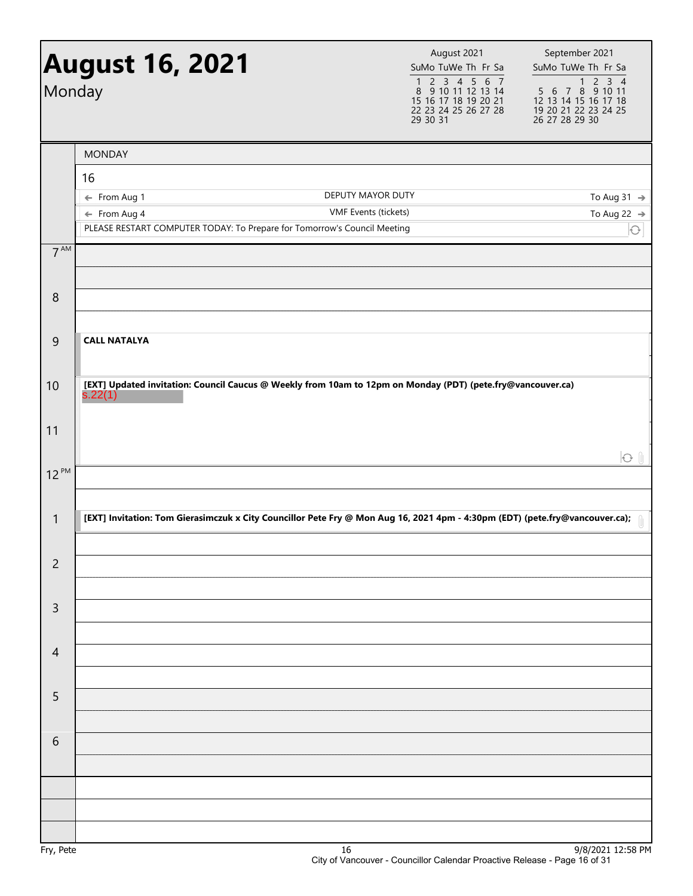| Monday          | <b>August 16, 2021</b>                                                                              | August 2021<br>SuMo TuWe Th Fr Sa<br>$\begin{array}{cccccc}\n1 & 2 & 3 & 4 & 5 & 6 & 7 \\ 8 & 9 & 10 & 11 & 12 & 13 & 14\n\end{array}$<br>15 16 17 18 19 20 21<br>22 23 24 25 26 27 28<br>29 30 31 | September 2021<br>SuMo TuWe Th Fr Sa<br>$5\ 6\ 7\ 8\ 9\ 10\ 11$<br>12 13 14 15 16 17 18<br>19 20 21 22 23 24 25<br>26 27 28 29 30 |
|-----------------|-----------------------------------------------------------------------------------------------------|----------------------------------------------------------------------------------------------------------------------------------------------------------------------------------------------------|-----------------------------------------------------------------------------------------------------------------------------------|
|                 | <b>MONDAY</b>                                                                                       |                                                                                                                                                                                                    |                                                                                                                                   |
|                 | 16                                                                                                  |                                                                                                                                                                                                    |                                                                                                                                   |
|                 | ← From Aug 1                                                                                        | DEPUTY MAYOR DUTY                                                                                                                                                                                  | To Aug 31 $\rightarrow$                                                                                                           |
|                 | $\leftarrow$ From Aug 4<br>PLEASE RESTART COMPUTER TODAY: To Prepare for Tomorrow's Council Meeting | VMF Events (tickets)                                                                                                                                                                               | To Aug 22 $\rightarrow$<br>$\bigodot$                                                                                             |
| 7 <sup>AM</sup> |                                                                                                     |                                                                                                                                                                                                    |                                                                                                                                   |
|                 |                                                                                                     |                                                                                                                                                                                                    |                                                                                                                                   |
| 8               |                                                                                                     |                                                                                                                                                                                                    |                                                                                                                                   |
| 9               | <b>CALL NATALYA</b>                                                                                 |                                                                                                                                                                                                    |                                                                                                                                   |
| 10              | s.22(1)                                                                                             | [EXT] Updated invitation: Council Caucus @ Weekly from 10am to 12pm on Monday (PDT) (pete.fry@vancouver.ca)                                                                                        |                                                                                                                                   |
| 11              |                                                                                                     |                                                                                                                                                                                                    | $\odot$ $\parallel$                                                                                                               |
| $12^{PM}$       |                                                                                                     |                                                                                                                                                                                                    |                                                                                                                                   |
| $\mathbf{1}$    |                                                                                                     | [EXT] Invitation: Tom Gierasimczuk x City Councillor Pete Fry @ Mon Aug 16, 2021 4pm - 4:30pm (EDT) (pete.fry@vancouver.ca);                                                                       |                                                                                                                                   |
| $\overline{c}$  |                                                                                                     |                                                                                                                                                                                                    |                                                                                                                                   |
| $\mathsf{3}$    |                                                                                                     |                                                                                                                                                                                                    |                                                                                                                                   |
| $\overline{4}$  |                                                                                                     |                                                                                                                                                                                                    |                                                                                                                                   |
| 5               |                                                                                                     |                                                                                                                                                                                                    |                                                                                                                                   |
| 6               |                                                                                                     |                                                                                                                                                                                                    |                                                                                                                                   |
|                 |                                                                                                     |                                                                                                                                                                                                    |                                                                                                                                   |
|                 |                                                                                                     |                                                                                                                                                                                                    |                                                                                                                                   |
|                 |                                                                                                     |                                                                                                                                                                                                    |                                                                                                                                   |
| Fry, Pete       |                                                                                                     | 16                                                                                                                                                                                                 | 9/8/2021 12:58 PM                                                                                                                 |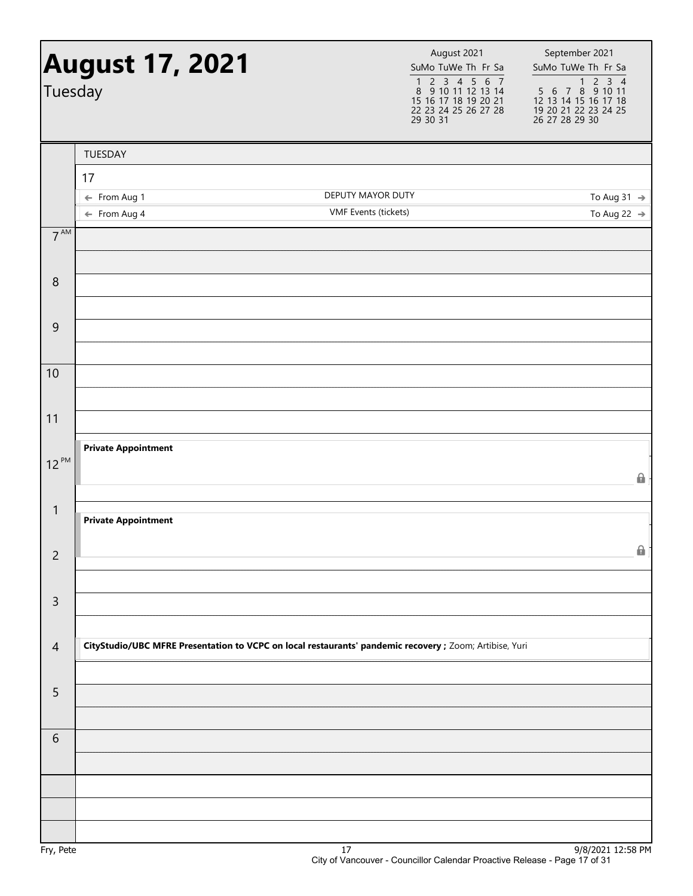| Tuesday         | <b>August 17, 2021</b>     |                                                                                                         | August 2021<br>SuMo TuWe Th Fr Sa<br>$\begin{array}{cccccc}\n1 & 2 & 3 & 4 & 5 & 6 & 7 \\ 8 & 9 & 10 & 11 & 12 & 13 & 14\n\end{array}$ | September 2021<br>SuMo TuWe Th Fr Sa<br>1 2 3 4<br>5 6 7 8 9 10 11 |
|-----------------|----------------------------|---------------------------------------------------------------------------------------------------------|----------------------------------------------------------------------------------------------------------------------------------------|--------------------------------------------------------------------|
|                 |                            |                                                                                                         | 15 16 17 18 19 20 21<br>22 23 24 25 26 27 28<br>29 30 31                                                                               | 12 13 14 15 16 17 18<br>19 20 21 22 23 24 25<br>26 27 28 29 30     |
|                 | TUESDAY                    |                                                                                                         |                                                                                                                                        |                                                                    |
|                 | 17                         |                                                                                                         |                                                                                                                                        |                                                                    |
|                 | ← From Aug 1               | DEPUTY MAYOR DUTY                                                                                       |                                                                                                                                        | To Aug 31 $\rightarrow$                                            |
|                 | $\leftarrow$ From Aug 4    | VMF Events (tickets)                                                                                    |                                                                                                                                        | To Aug 22 $\rightarrow$                                            |
| $7^{\text{AM}}$ |                            |                                                                                                         |                                                                                                                                        |                                                                    |
| 8               |                            |                                                                                                         |                                                                                                                                        |                                                                    |
| $\overline{9}$  |                            |                                                                                                         |                                                                                                                                        |                                                                    |
|                 |                            |                                                                                                         |                                                                                                                                        |                                                                    |
| 10              |                            |                                                                                                         |                                                                                                                                        |                                                                    |
| 11              |                            |                                                                                                         |                                                                                                                                        |                                                                    |
|                 | <b>Private Appointment</b> |                                                                                                         |                                                                                                                                        |                                                                    |
| $12^{PM}$       |                            |                                                                                                         |                                                                                                                                        | θ                                                                  |
| $\mathbf{1}$    | <b>Private Appointment</b> |                                                                                                         |                                                                                                                                        |                                                                    |
| $\overline{c}$  |                            |                                                                                                         |                                                                                                                                        | 0                                                                  |
|                 |                            |                                                                                                         |                                                                                                                                        |                                                                    |
| $\mathsf{3}$    |                            |                                                                                                         |                                                                                                                                        |                                                                    |
| $\overline{4}$  |                            | CityStudio/UBC MFRE Presentation to VCPC on local restaurants' pandemic recovery ; Zoom; Artibise, Yuri |                                                                                                                                        |                                                                    |
|                 |                            |                                                                                                         |                                                                                                                                        |                                                                    |
| 5               |                            |                                                                                                         |                                                                                                                                        |                                                                    |
| 6               |                            |                                                                                                         |                                                                                                                                        |                                                                    |
|                 |                            |                                                                                                         |                                                                                                                                        |                                                                    |
|                 |                            |                                                                                                         |                                                                                                                                        |                                                                    |
|                 |                            |                                                                                                         |                                                                                                                                        |                                                                    |
| Fry, Pete       |                            | 17                                                                                                      |                                                                                                                                        | 9/8/2021 12:58 PM                                                  |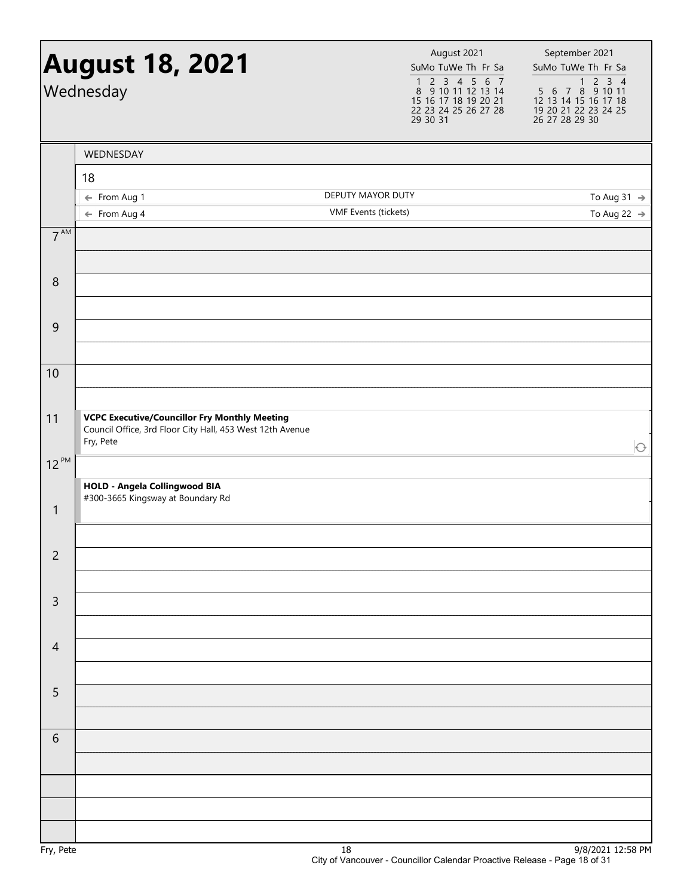|                | <b>August 18, 2021</b><br>Wednesday                                                                                            |                      | August 2021<br>SuMo TuWe Th Fr Sa<br>$\begin{array}{cccccc}\n1 & 2 & 3 & 4 & 5 & 6 & 7 \\ 8 & 9 & 10 & 11 & 12 & 13 & 14\n\end{array}$<br>15 16 17 18 19 20 21<br>22 23 24 25 26 27 28<br>29 30 31 | September 2021<br>SuMo TuWe Th Fr Sa<br>$\begin{array}{@{}c@{\hspace{1em}}c@{\hspace{1em}}c@{\hspace{1em}}c@{\hspace{1em}}c@{\hspace{1em}}c@{\hspace{1em}}c@{\hspace{1em}}c@{\hspace{1em}}c@{\hspace{1em}}c@{\hspace{1em}}c@{\hspace{1em}}c@{\hspace{1em}}c@{\hspace{1em}}c@{\hspace{1em}}c@{\hspace{1em}}c@{\hspace{1em}}c@{\hspace{1em}}c@{\hspace{1em}}c@{\hspace{1em}}c@{\hspace{1em}}c@{\hspace{1em}}c@{\hspace{1em}}c@{\hspace{1em}}c@{\hspace{$<br>12 13 14 15 16 17 18<br>19 20 21 22 23 24 25<br>26 27 28 29 30 |
|----------------|--------------------------------------------------------------------------------------------------------------------------------|----------------------|----------------------------------------------------------------------------------------------------------------------------------------------------------------------------------------------------|--------------------------------------------------------------------------------------------------------------------------------------------------------------------------------------------------------------------------------------------------------------------------------------------------------------------------------------------------------------------------------------------------------------------------------------------------------------------------------------------------------------------------|
|                | WEDNESDAY                                                                                                                      |                      |                                                                                                                                                                                                    |                                                                                                                                                                                                                                                                                                                                                                                                                                                                                                                          |
|                | 18                                                                                                                             |                      |                                                                                                                                                                                                    |                                                                                                                                                                                                                                                                                                                                                                                                                                                                                                                          |
|                | ← From Aug 1                                                                                                                   | DEPUTY MAYOR DUTY    |                                                                                                                                                                                                    | To Aug 31 $\rightarrow$                                                                                                                                                                                                                                                                                                                                                                                                                                                                                                  |
|                | $\leftarrow$ From Aug 4                                                                                                        | VMF Events (tickets) |                                                                                                                                                                                                    | To Aug 22 $\rightarrow$                                                                                                                                                                                                                                                                                                                                                                                                                                                                                                  |
| $7^{AM}$       |                                                                                                                                |                      |                                                                                                                                                                                                    |                                                                                                                                                                                                                                                                                                                                                                                                                                                                                                                          |
| 8              |                                                                                                                                |                      |                                                                                                                                                                                                    |                                                                                                                                                                                                                                                                                                                                                                                                                                                                                                                          |
|                |                                                                                                                                |                      |                                                                                                                                                                                                    |                                                                                                                                                                                                                                                                                                                                                                                                                                                                                                                          |
| $\overline{9}$ |                                                                                                                                |                      |                                                                                                                                                                                                    |                                                                                                                                                                                                                                                                                                                                                                                                                                                                                                                          |
| 10             |                                                                                                                                |                      |                                                                                                                                                                                                    |                                                                                                                                                                                                                                                                                                                                                                                                                                                                                                                          |
| 11             | <b>VCPC Executive/Councillor Fry Monthly Meeting</b><br>Council Office, 3rd Floor City Hall, 453 West 12th Avenue<br>Fry, Pete |                      |                                                                                                                                                                                                    | $\bigcirc$                                                                                                                                                                                                                                                                                                                                                                                                                                                                                                               |
| $12^{PM}$      |                                                                                                                                |                      |                                                                                                                                                                                                    |                                                                                                                                                                                                                                                                                                                                                                                                                                                                                                                          |
|                | <b>HOLD - Angela Collingwood BIA</b>                                                                                           |                      |                                                                                                                                                                                                    |                                                                                                                                                                                                                                                                                                                                                                                                                                                                                                                          |
| $\mathbf{1}$   | #300-3665 Kingsway at Boundary Rd                                                                                              |                      |                                                                                                                                                                                                    |                                                                                                                                                                                                                                                                                                                                                                                                                                                                                                                          |
| $\overline{c}$ |                                                                                                                                |                      |                                                                                                                                                                                                    |                                                                                                                                                                                                                                                                                                                                                                                                                                                                                                                          |
|                |                                                                                                                                |                      |                                                                                                                                                                                                    |                                                                                                                                                                                                                                                                                                                                                                                                                                                                                                                          |
| $\overline{3}$ |                                                                                                                                |                      |                                                                                                                                                                                                    |                                                                                                                                                                                                                                                                                                                                                                                                                                                                                                                          |
| $\overline{4}$ |                                                                                                                                |                      |                                                                                                                                                                                                    |                                                                                                                                                                                                                                                                                                                                                                                                                                                                                                                          |
| 5              |                                                                                                                                |                      |                                                                                                                                                                                                    |                                                                                                                                                                                                                                                                                                                                                                                                                                                                                                                          |
|                |                                                                                                                                |                      |                                                                                                                                                                                                    |                                                                                                                                                                                                                                                                                                                                                                                                                                                                                                                          |
| 6              |                                                                                                                                |                      |                                                                                                                                                                                                    |                                                                                                                                                                                                                                                                                                                                                                                                                                                                                                                          |
|                |                                                                                                                                |                      |                                                                                                                                                                                                    |                                                                                                                                                                                                                                                                                                                                                                                                                                                                                                                          |
|                |                                                                                                                                |                      |                                                                                                                                                                                                    |                                                                                                                                                                                                                                                                                                                                                                                                                                                                                                                          |
| Fry, Pete      |                                                                                                                                | 18                   |                                                                                                                                                                                                    | 9/8/2021 12:58 PM                                                                                                                                                                                                                                                                                                                                                                                                                                                                                                        |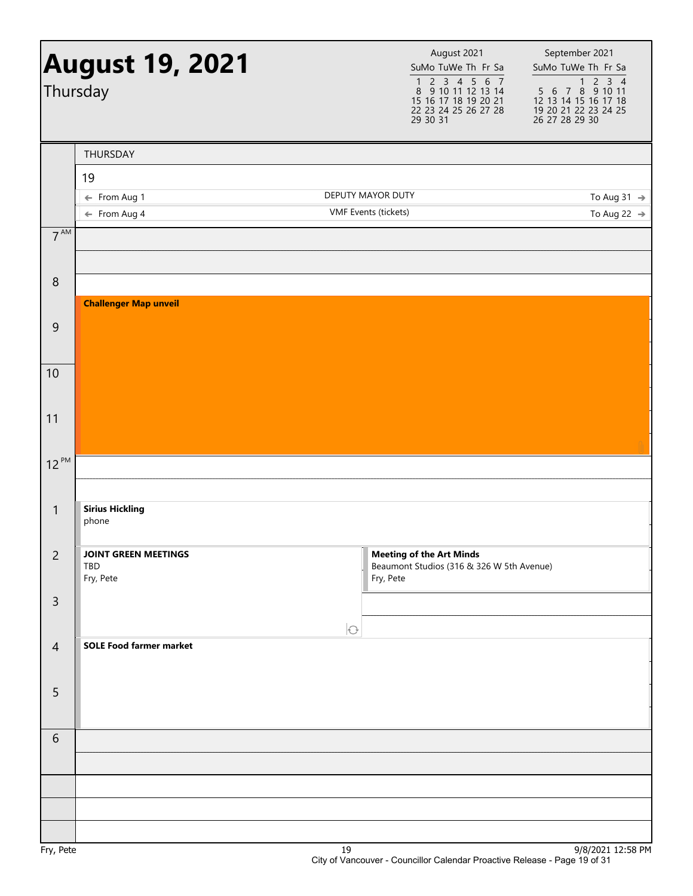|                  | <b>August 19, 2021</b><br>Thursday      |                                           | August 2021<br>SuMo TuWe Th Fr Sa<br>$\begin{array}{cccccc}\n1 & 2 & 3 & 4 & 5 & 6 & 7 \\ 8 & 9 & 10 & 11 & 12 & 13 & 14\n\end{array}$<br>15 16 17 18 19 20 21<br>22 23 24 25 26 27 28<br>29 30 31 | September 2021<br>SuMo TuWe Th Fr Sa<br>5 6 7 8 9 10 11<br>12 13 14 15 16 17 18<br>19 20 21 22 23 24 25<br>26 27 28 29 30 |
|------------------|-----------------------------------------|-------------------------------------------|----------------------------------------------------------------------------------------------------------------------------------------------------------------------------------------------------|---------------------------------------------------------------------------------------------------------------------------|
|                  | THURSDAY                                |                                           |                                                                                                                                                                                                    |                                                                                                                           |
|                  | 19                                      |                                           |                                                                                                                                                                                                    |                                                                                                                           |
|                  | ← From Aug 1<br>$\leftarrow$ From Aug 4 | DEPUTY MAYOR DUTY<br>VMF Events (tickets) |                                                                                                                                                                                                    | To Aug 31 $\rightarrow$<br>To Aug 22 $\rightarrow$                                                                        |
| 7 <sup>AM</sup>  |                                         |                                           |                                                                                                                                                                                                    |                                                                                                                           |
|                  |                                         |                                           |                                                                                                                                                                                                    |                                                                                                                           |
| $\,8\,$          |                                         |                                           |                                                                                                                                                                                                    |                                                                                                                           |
|                  | <b>Challenger Map unveil</b>            |                                           |                                                                                                                                                                                                    |                                                                                                                           |
| $\mathsf 9$      |                                         |                                           |                                                                                                                                                                                                    |                                                                                                                           |
| 10               |                                         |                                           |                                                                                                                                                                                                    |                                                                                                                           |
|                  |                                         |                                           |                                                                                                                                                                                                    |                                                                                                                           |
| 11               |                                         |                                           |                                                                                                                                                                                                    |                                                                                                                           |
| $12^{PM}$        |                                         |                                           |                                                                                                                                                                                                    |                                                                                                                           |
|                  |                                         |                                           |                                                                                                                                                                                                    |                                                                                                                           |
| $\mathbf{1}$     | <b>Sirius Hickling</b><br>phone         |                                           |                                                                                                                                                                                                    |                                                                                                                           |
| $\overline{c}$   | <b>JOINT GREEN MEETINGS</b>             |                                           | <b>Meeting of the Art Minds</b>                                                                                                                                                                    |                                                                                                                           |
|                  | TBD<br>Fry, Pete                        |                                           | Beaumont Studios (316 & 326 W 5th Avenue)<br>Fry, Pete                                                                                                                                             |                                                                                                                           |
| $\mathsf{3}$     |                                         |                                           |                                                                                                                                                                                                    |                                                                                                                           |
|                  |                                         | $\bigcirc$                                |                                                                                                                                                                                                    |                                                                                                                           |
| $\overline{4}$   | <b>SOLE Food farmer market</b>          |                                           |                                                                                                                                                                                                    |                                                                                                                           |
| 5                |                                         |                                           |                                                                                                                                                                                                    |                                                                                                                           |
|                  |                                         |                                           |                                                                                                                                                                                                    |                                                                                                                           |
| 6                |                                         |                                           |                                                                                                                                                                                                    |                                                                                                                           |
|                  |                                         |                                           |                                                                                                                                                                                                    |                                                                                                                           |
|                  |                                         |                                           |                                                                                                                                                                                                    |                                                                                                                           |
|                  |                                         |                                           |                                                                                                                                                                                                    |                                                                                                                           |
| D <sub>a</sub> i |                                         | $\overline{10}$                           |                                                                                                                                                                                                    | 0.001202132500M                                                                                                           |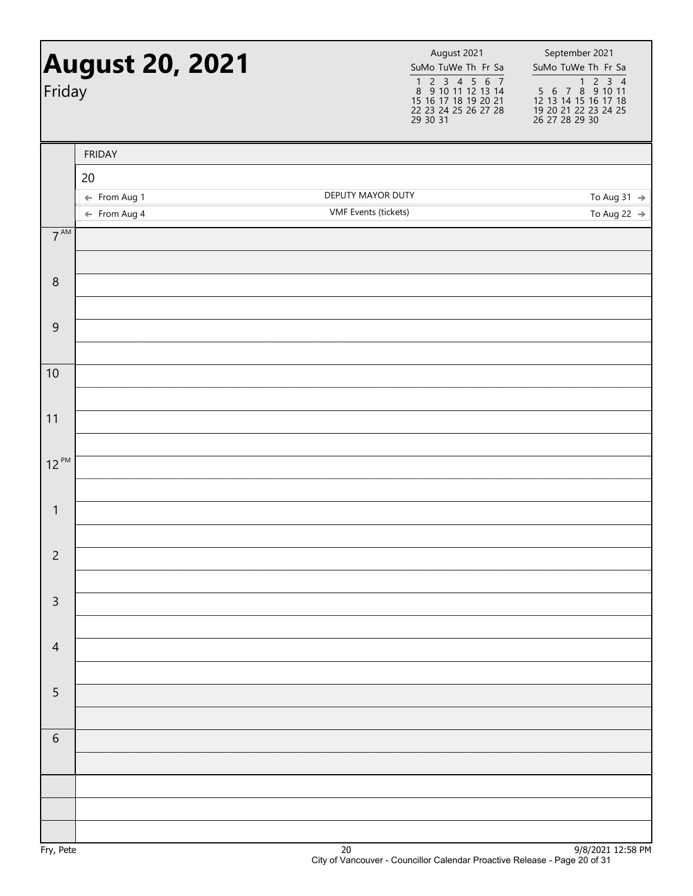|                 | <b>August 20, 2021</b><br>Friday        |                                           | September 2021<br>SuMo TuWe Th Fr Sa<br>SuMo TuWe Th Fr Sa<br>1 2 3 4<br>5 6 7 8 9 10 11<br>12 13 14 15 16 17 18<br>1 2 3 4 5 6 7<br>8 9 10 11 12 13 14<br>15 16 17 18 19 20 21<br>19 20 21 22 23 24 25<br>26 27 28 29 30<br>22 23 24 25 26 27 28<br>29 30 31 |
|-----------------|-----------------------------------------|-------------------------------------------|---------------------------------------------------------------------------------------------------------------------------------------------------------------------------------------------------------------------------------------------------------------|
|                 | <b>FRIDAY</b>                           |                                           |                                                                                                                                                                                                                                                               |
|                 | 20                                      |                                           |                                                                                                                                                                                                                                                               |
|                 | ← From Aug 1<br>$\leftarrow$ From Aug 4 | DEPUTY MAYOR DUTY<br>VMF Events (tickets) | To Aug 31 $\rightarrow$<br>To Aug 22 $\rightarrow$                                                                                                                                                                                                            |
| $7^{\text{AM}}$ |                                         |                                           |                                                                                                                                                                                                                                                               |
|                 |                                         |                                           |                                                                                                                                                                                                                                                               |
| $\, 8$          |                                         |                                           |                                                                                                                                                                                                                                                               |
|                 |                                         |                                           |                                                                                                                                                                                                                                                               |
| $\mathsf 9$     |                                         |                                           |                                                                                                                                                                                                                                                               |
| 10              |                                         |                                           |                                                                                                                                                                                                                                                               |
|                 |                                         |                                           |                                                                                                                                                                                                                                                               |
| 11              |                                         |                                           |                                                                                                                                                                                                                                                               |
|                 |                                         |                                           |                                                                                                                                                                                                                                                               |
| $12^{PM}$       |                                         |                                           |                                                                                                                                                                                                                                                               |
| $\mathbf{1}$    |                                         |                                           |                                                                                                                                                                                                                                                               |
|                 |                                         |                                           |                                                                                                                                                                                                                                                               |
| $\overline{c}$  |                                         |                                           |                                                                                                                                                                                                                                                               |
|                 |                                         |                                           |                                                                                                                                                                                                                                                               |
| $\mathsf{3}$    |                                         |                                           |                                                                                                                                                                                                                                                               |
| $\overline{4}$  |                                         |                                           |                                                                                                                                                                                                                                                               |
|                 |                                         |                                           |                                                                                                                                                                                                                                                               |
| 5               |                                         |                                           |                                                                                                                                                                                                                                                               |
| 6               |                                         |                                           |                                                                                                                                                                                                                                                               |
|                 |                                         |                                           |                                                                                                                                                                                                                                                               |
|                 |                                         |                                           |                                                                                                                                                                                                                                                               |
|                 |                                         |                                           |                                                                                                                                                                                                                                                               |
|                 |                                         |                                           |                                                                                                                                                                                                                                                               |
|                 |                                         |                                           |                                                                                                                                                                                                                                                               |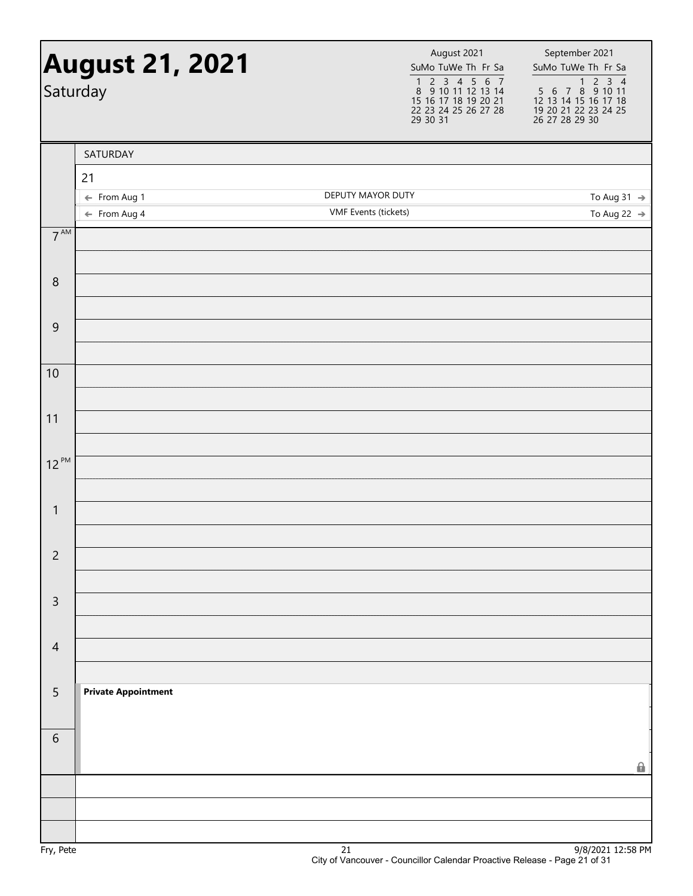|                 | <b>August 21, 2021</b><br>Saturday      | August 2021<br>SuMo TuWe Th Fr Sa<br>1 2 3 4 5 6 7<br>8 9 10 11 12 13 14<br>15 16 17 18 19 20 21<br>22 23 24 25 26 27 28<br>29 30 31 | September 2021<br>SuMo TuWe Th Fr Sa<br>1 2 3 4<br>5 6 7 8 9 10 11<br>12 13 14 15 16 17 18<br>19 20 21 22 23 24 25<br>26 27 28 29 30 |
|-----------------|-----------------------------------------|--------------------------------------------------------------------------------------------------------------------------------------|--------------------------------------------------------------------------------------------------------------------------------------|
|                 | SATURDAY                                |                                                                                                                                      |                                                                                                                                      |
|                 | 21                                      |                                                                                                                                      |                                                                                                                                      |
|                 | ← From Aug 1<br>$\leftarrow$ From Aug 4 | DEPUTY MAYOR DUTY<br><b>VMF</b> Events (tickets)                                                                                     | To Aug 31 $\rightarrow$<br>To Aug 22 $\rightarrow$                                                                                   |
| $7^{\text{AM}}$ |                                         |                                                                                                                                      |                                                                                                                                      |
|                 |                                         |                                                                                                                                      |                                                                                                                                      |
| 8               |                                         |                                                                                                                                      |                                                                                                                                      |
| $\mathsf 9$     |                                         |                                                                                                                                      |                                                                                                                                      |
|                 |                                         |                                                                                                                                      |                                                                                                                                      |
| 10              |                                         |                                                                                                                                      |                                                                                                                                      |
| 11              |                                         |                                                                                                                                      |                                                                                                                                      |
| $12^{PM}$       |                                         |                                                                                                                                      |                                                                                                                                      |
|                 |                                         |                                                                                                                                      |                                                                                                                                      |
| $\mathbf{1}$    |                                         |                                                                                                                                      |                                                                                                                                      |
| $\overline{c}$  |                                         |                                                                                                                                      |                                                                                                                                      |
| $\mathsf{3}$    |                                         |                                                                                                                                      |                                                                                                                                      |
|                 |                                         |                                                                                                                                      |                                                                                                                                      |
| $\overline{4}$  |                                         |                                                                                                                                      |                                                                                                                                      |
| 5               | <b>Private Appointment</b>              |                                                                                                                                      |                                                                                                                                      |
|                 |                                         |                                                                                                                                      |                                                                                                                                      |
| 6               |                                         |                                                                                                                                      |                                                                                                                                      |
|                 |                                         |                                                                                                                                      | $\mathbf{r}$                                                                                                                         |
|                 |                                         |                                                                                                                                      |                                                                                                                                      |
|                 |                                         |                                                                                                                                      |                                                                                                                                      |
| En(Doto         |                                         | 21                                                                                                                                   | $0/0/2021$ 12.50 DM                                                                                                                  |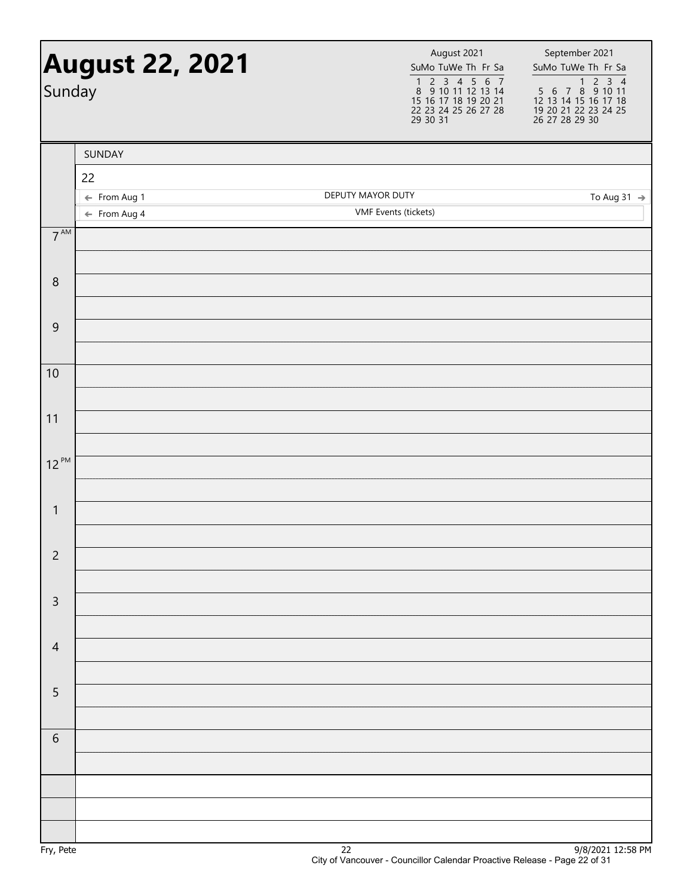| <b>August 22, 2021</b><br>Sunday |                         | August 2021<br>SuMo TuWe Th Fr Sa<br>$\begin{array}{cccccc}\n1 & 2 & 3 & 4 & 5 & 6 & 7 \\ 8 & 9 & 10 & 11 & 12 & 13 & 14\n\end{array}$<br>15 16 17 18 19 20 21<br>22 23 24 25 26 27 28<br>29 30 31 | September 2021<br>SuMo TuWe Th Fr Sa<br>$\begin{array}{@{}c@{\hspace{1em}}c@{\hspace{1em}}c@{\hspace{1em}}c@{\hspace{1em}}c@{\hspace{1em}}c@{\hspace{1em}}c@{\hspace{1em}}c@{\hspace{1em}}c@{\hspace{1em}}c@{\hspace{1em}}c@{\hspace{1em}}c@{\hspace{1em}}c@{\hspace{1em}}c@{\hspace{1em}}c@{\hspace{1em}}c@{\hspace{1em}}c@{\hspace{1em}}c@{\hspace{1em}}c@{\hspace{1em}}c@{\hspace{1em}}c@{\hspace{1em}}c@{\hspace{1em}}c@{\hspace{1em}}c@{\hspace{$<br>12 13 14 15 16 17 18<br>19 20 21 22 23 24 25<br>26 27 28 29 30 |
|----------------------------------|-------------------------|----------------------------------------------------------------------------------------------------------------------------------------------------------------------------------------------------|--------------------------------------------------------------------------------------------------------------------------------------------------------------------------------------------------------------------------------------------------------------------------------------------------------------------------------------------------------------------------------------------------------------------------------------------------------------------------------------------------------------------------|
|                                  | SUNDAY                  |                                                                                                                                                                                                    |                                                                                                                                                                                                                                                                                                                                                                                                                                                                                                                          |
|                                  | 22                      |                                                                                                                                                                                                    |                                                                                                                                                                                                                                                                                                                                                                                                                                                                                                                          |
|                                  | ← From Aug 1            | DEPUTY MAYOR DUTY                                                                                                                                                                                  | To Aug 31 $\rightarrow$                                                                                                                                                                                                                                                                                                                                                                                                                                                                                                  |
|                                  | $\leftarrow$ From Aug 4 | <b>VMF</b> Events (tickets)                                                                                                                                                                        |                                                                                                                                                                                                                                                                                                                                                                                                                                                                                                                          |
| $7^{\text{AM}}$                  |                         |                                                                                                                                                                                                    |                                                                                                                                                                                                                                                                                                                                                                                                                                                                                                                          |
| $\,8\,$                          |                         |                                                                                                                                                                                                    |                                                                                                                                                                                                                                                                                                                                                                                                                                                                                                                          |
|                                  |                         |                                                                                                                                                                                                    |                                                                                                                                                                                                                                                                                                                                                                                                                                                                                                                          |
| $\mathsf 9$                      |                         |                                                                                                                                                                                                    |                                                                                                                                                                                                                                                                                                                                                                                                                                                                                                                          |
| 10                               |                         |                                                                                                                                                                                                    |                                                                                                                                                                                                                                                                                                                                                                                                                                                                                                                          |
| $11$                             |                         |                                                                                                                                                                                                    |                                                                                                                                                                                                                                                                                                                                                                                                                                                                                                                          |
|                                  |                         |                                                                                                                                                                                                    |                                                                                                                                                                                                                                                                                                                                                                                                                                                                                                                          |
| $12^{PM}$                        |                         |                                                                                                                                                                                                    |                                                                                                                                                                                                                                                                                                                                                                                                                                                                                                                          |
| $\mathbf{1}$                     |                         |                                                                                                                                                                                                    |                                                                                                                                                                                                                                                                                                                                                                                                                                                                                                                          |
|                                  |                         |                                                                                                                                                                                                    |                                                                                                                                                                                                                                                                                                                                                                                                                                                                                                                          |
| $\overline{c}$                   |                         |                                                                                                                                                                                                    |                                                                                                                                                                                                                                                                                                                                                                                                                                                                                                                          |
| $\mathsf{3}$                     |                         |                                                                                                                                                                                                    |                                                                                                                                                                                                                                                                                                                                                                                                                                                                                                                          |
| $\overline{4}$                   |                         |                                                                                                                                                                                                    |                                                                                                                                                                                                                                                                                                                                                                                                                                                                                                                          |
|                                  |                         |                                                                                                                                                                                                    |                                                                                                                                                                                                                                                                                                                                                                                                                                                                                                                          |
| 5                                |                         |                                                                                                                                                                                                    |                                                                                                                                                                                                                                                                                                                                                                                                                                                                                                                          |
| 6                                |                         |                                                                                                                                                                                                    |                                                                                                                                                                                                                                                                                                                                                                                                                                                                                                                          |
|                                  |                         |                                                                                                                                                                                                    |                                                                                                                                                                                                                                                                                                                                                                                                                                                                                                                          |
|                                  |                         |                                                                                                                                                                                                    |                                                                                                                                                                                                                                                                                                                                                                                                                                                                                                                          |
|                                  |                         |                                                                                                                                                                                                    |                                                                                                                                                                                                                                                                                                                                                                                                                                                                                                                          |
|                                  |                         |                                                                                                                                                                                                    |                                                                                                                                                                                                                                                                                                                                                                                                                                                                                                                          |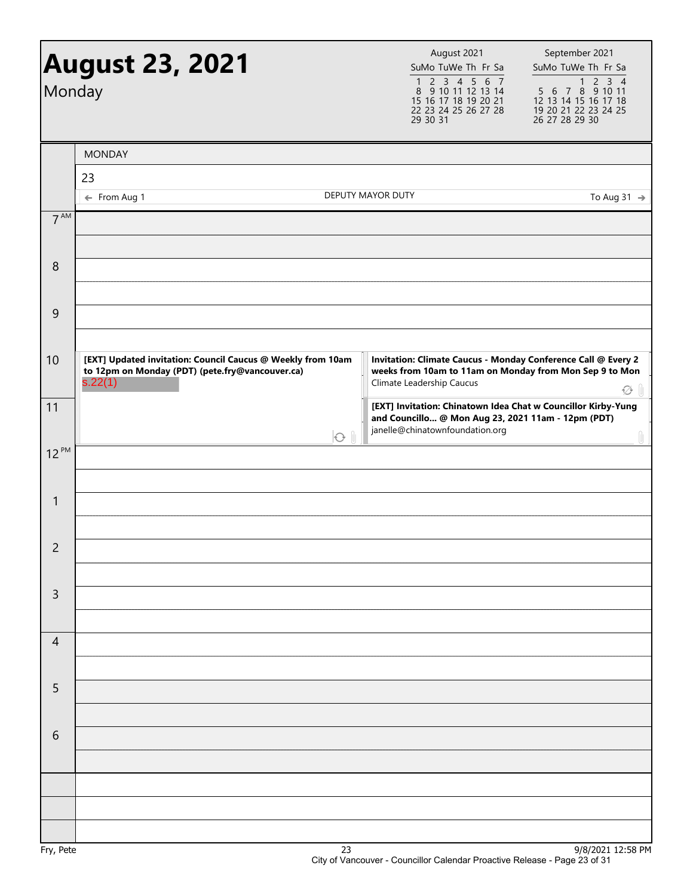| Monday          | <b>August 23, 2021</b>                                                                                                    |            | August 2021<br>SuMo TuWe Th Fr Sa<br>2 3 4 5 6 7<br>1<br>8 9 10 11 12 13 14<br>15 16 17 18 19 20 21<br>22 23 24 25 26 27 28<br>29 30 31               | September 2021<br>SuMo TuWe Th Fr Sa<br>$\mathsf{2}\,$<br>$3 \quad 4$<br>1<br>$6\ 7\ 8\ 9\ 10\ 11$<br>5<br>12 13 14 15 16 17 18<br>19 20 21 22 23 24 25<br>26 27 28 29 30 |
|-----------------|---------------------------------------------------------------------------------------------------------------------------|------------|-------------------------------------------------------------------------------------------------------------------------------------------------------|---------------------------------------------------------------------------------------------------------------------------------------------------------------------------|
|                 | <b>MONDAY</b>                                                                                                             |            |                                                                                                                                                       |                                                                                                                                                                           |
|                 | 23                                                                                                                        |            |                                                                                                                                                       |                                                                                                                                                                           |
|                 | ← From Aug 1                                                                                                              |            | DEPUTY MAYOR DUTY                                                                                                                                     | To Aug 31 $\rightarrow$                                                                                                                                                   |
| $7^{\text{AM}}$ |                                                                                                                           |            |                                                                                                                                                       |                                                                                                                                                                           |
| 8               |                                                                                                                           |            |                                                                                                                                                       |                                                                                                                                                                           |
| 9               |                                                                                                                           |            |                                                                                                                                                       |                                                                                                                                                                           |
| 10              | [EXT] Updated invitation: Council Caucus @ Weekly from 10am<br>to 12pm on Monday (PDT) (pete.fry@vancouver.ca)<br>s.22(1) |            | Invitation: Climate Caucus - Monday Conference Call @ Every 2<br>weeks from 10am to 11am on Monday from Mon Sep 9 to Mon<br>Climate Leadership Caucus |                                                                                                                                                                           |
| 11              |                                                                                                                           |            | [EXT] Invitation: Chinatown Idea Chat w Councillor Kirby-Yung<br>and Councillo @ Mon Aug 23, 2021 11am - 12pm (PDT)                                   | $\widetilde{\swarrow}$                                                                                                                                                    |
| $12^{PM}$       |                                                                                                                           | $\bigodot$ | janelle@chinatownfoundation.org                                                                                                                       | 0                                                                                                                                                                         |
|                 |                                                                                                                           |            |                                                                                                                                                       |                                                                                                                                                                           |
| $\mathbf{1}$    |                                                                                                                           |            |                                                                                                                                                       |                                                                                                                                                                           |
| $\overline{2}$  |                                                                                                                           |            |                                                                                                                                                       |                                                                                                                                                                           |
| $\mathsf{3}$    |                                                                                                                           |            |                                                                                                                                                       |                                                                                                                                                                           |
|                 |                                                                                                                           |            |                                                                                                                                                       |                                                                                                                                                                           |
| $\overline{4}$  |                                                                                                                           |            |                                                                                                                                                       |                                                                                                                                                                           |
|                 |                                                                                                                           |            |                                                                                                                                                       |                                                                                                                                                                           |
| 5               |                                                                                                                           |            |                                                                                                                                                       |                                                                                                                                                                           |
| 6               |                                                                                                                           |            |                                                                                                                                                       |                                                                                                                                                                           |
|                 |                                                                                                                           |            |                                                                                                                                                       |                                                                                                                                                                           |
|                 |                                                                                                                           |            |                                                                                                                                                       |                                                                                                                                                                           |
|                 |                                                                                                                           |            |                                                                                                                                                       |                                                                                                                                                                           |
|                 |                                                                                                                           |            |                                                                                                                                                       | 0/0/2021 12.50                                                                                                                                                            |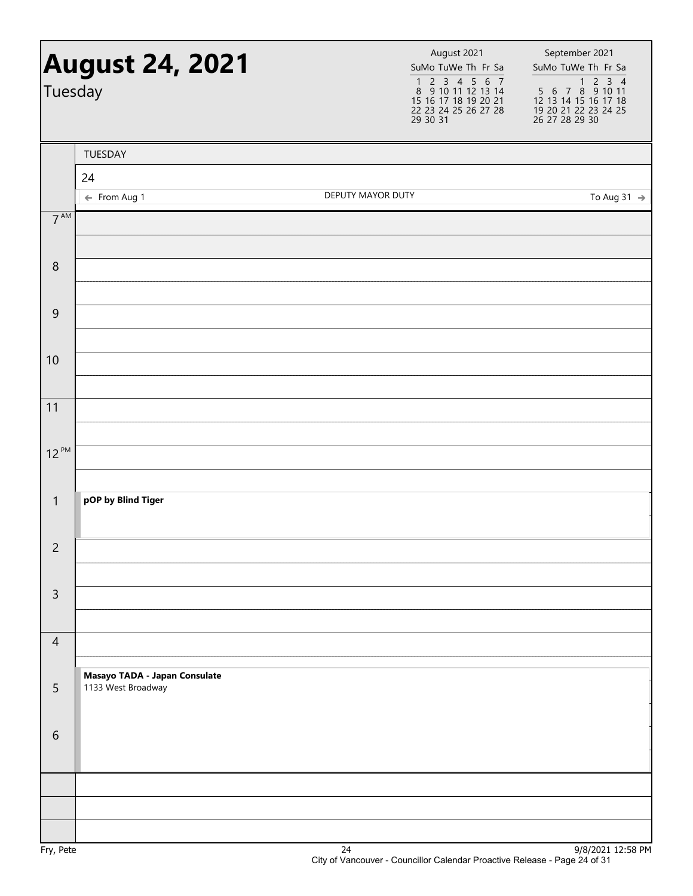| Tuesday          | <b>August 24, 2021</b>                              |                   | August 2021<br>SuMo TuWe Th Fr Sa<br>1 2 3 4 5 6 7<br>8 9 10 11 12 13 14<br>15 16 17 18 19 20 21<br>22 23 24 25 26 27 28<br>29 30 31 | September 2021<br>SuMo TuWe Th Fr Sa<br>$\begin{array}{@{}c@{\hspace{1em}}c@{\hspace{1em}}c@{\hspace{1em}}c@{\hspace{1em}}c@{\hspace{1em}}c@{\hspace{1em}}c@{\hspace{1em}}c@{\hspace{1em}}c@{\hspace{1em}}c@{\hspace{1em}}c@{\hspace{1em}}c@{\hspace{1em}}c@{\hspace{1em}}c@{\hspace{1em}}c@{\hspace{1em}}c@{\hspace{1em}}c@{\hspace{1em}}c@{\hspace{1em}}c@{\hspace{1em}}c@{\hspace{1em}}c@{\hspace{1em}}c@{\hspace{1em}}c@{\hspace{1em}}c@{\hspace{$<br>12 13 14 15 16 17 18<br>19 20 21 22 23 24 25<br>26 27 28 29 30 |
|------------------|-----------------------------------------------------|-------------------|--------------------------------------------------------------------------------------------------------------------------------------|--------------------------------------------------------------------------------------------------------------------------------------------------------------------------------------------------------------------------------------------------------------------------------------------------------------------------------------------------------------------------------------------------------------------------------------------------------------------------------------------------------------------------|
|                  | TUESDAY                                             |                   |                                                                                                                                      |                                                                                                                                                                                                                                                                                                                                                                                                                                                                                                                          |
|                  | 24                                                  |                   |                                                                                                                                      |                                                                                                                                                                                                                                                                                                                                                                                                                                                                                                                          |
|                  | ← From Aug 1                                        | DEPUTY MAYOR DUTY |                                                                                                                                      | To Aug 31 $\rightarrow$                                                                                                                                                                                                                                                                                                                                                                                                                                                                                                  |
| $7^{\text{AM}}$  |                                                     |                   |                                                                                                                                      |                                                                                                                                                                                                                                                                                                                                                                                                                                                                                                                          |
| $\boldsymbol{8}$ |                                                     |                   |                                                                                                                                      |                                                                                                                                                                                                                                                                                                                                                                                                                                                                                                                          |
|                  |                                                     |                   |                                                                                                                                      |                                                                                                                                                                                                                                                                                                                                                                                                                                                                                                                          |
| $\overline{9}$   |                                                     |                   |                                                                                                                                      |                                                                                                                                                                                                                                                                                                                                                                                                                                                                                                                          |
| 10               |                                                     |                   |                                                                                                                                      |                                                                                                                                                                                                                                                                                                                                                                                                                                                                                                                          |
|                  |                                                     |                   |                                                                                                                                      |                                                                                                                                                                                                                                                                                                                                                                                                                                                                                                                          |
| 11               |                                                     |                   |                                                                                                                                      |                                                                                                                                                                                                                                                                                                                                                                                                                                                                                                                          |
| $12^{PM}$        |                                                     |                   |                                                                                                                                      |                                                                                                                                                                                                                                                                                                                                                                                                                                                                                                                          |
|                  |                                                     |                   |                                                                                                                                      |                                                                                                                                                                                                                                                                                                                                                                                                                                                                                                                          |
| $\mathbf{1}$     | pOP by Blind Tiger                                  |                   |                                                                                                                                      |                                                                                                                                                                                                                                                                                                                                                                                                                                                                                                                          |
| $\overline{2}$   |                                                     |                   |                                                                                                                                      |                                                                                                                                                                                                                                                                                                                                                                                                                                                                                                                          |
| $\mathsf{3}$     |                                                     |                   |                                                                                                                                      |                                                                                                                                                                                                                                                                                                                                                                                                                                                                                                                          |
|                  |                                                     |                   |                                                                                                                                      |                                                                                                                                                                                                                                                                                                                                                                                                                                                                                                                          |
| $\overline{4}$   |                                                     |                   |                                                                                                                                      |                                                                                                                                                                                                                                                                                                                                                                                                                                                                                                                          |
| 5                | Masayo TADA - Japan Consulate<br>1133 West Broadway |                   |                                                                                                                                      |                                                                                                                                                                                                                                                                                                                                                                                                                                                                                                                          |
| 6                |                                                     |                   |                                                                                                                                      |                                                                                                                                                                                                                                                                                                                                                                                                                                                                                                                          |
|                  |                                                     |                   |                                                                                                                                      |                                                                                                                                                                                                                                                                                                                                                                                                                                                                                                                          |
|                  |                                                     |                   |                                                                                                                                      |                                                                                                                                                                                                                                                                                                                                                                                                                                                                                                                          |
| En/Doto          |                                                     | 24                |                                                                                                                                      | $0/8/2021$ 12.58 DM                                                                                                                                                                                                                                                                                                                                                                                                                                                                                                      |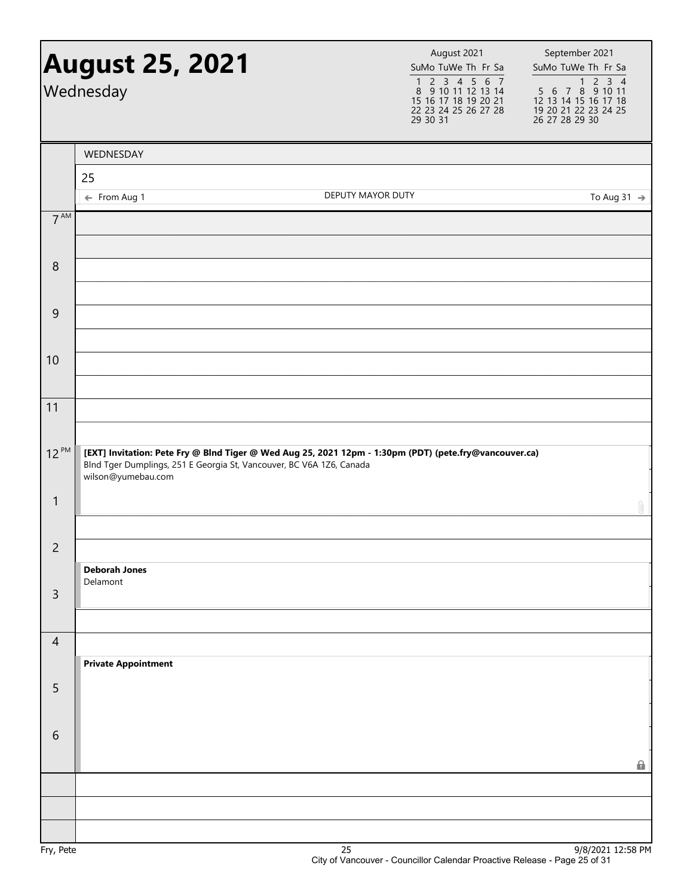|                 | <b>August 25, 2021</b><br>Wednesday                                                        |                                                                                                        | August 2021<br>SuMo TuWe Th Fr Sa<br>$\begin{array}{cccccc}\n1 & 2 & 3 & 4 & 5 & 6 & 7 \\ 8 & 9 & 10 & 11 & 12 & 13 & 14\n\end{array}$<br>15 16 17 18 19 20 21<br>22 23 24 25 26 27 28<br>29 30 31 | September 2021<br>SuMo TuWe Th Fr Sa<br>$\frac{1}{5}$ 6 7 8 9 10 11<br>12 13 14 15 16 17 18<br>19 20 21 22 23 24 25<br>26 27 28 29 30 |
|-----------------|--------------------------------------------------------------------------------------------|--------------------------------------------------------------------------------------------------------|----------------------------------------------------------------------------------------------------------------------------------------------------------------------------------------------------|---------------------------------------------------------------------------------------------------------------------------------------|
|                 | WEDNESDAY                                                                                  |                                                                                                        |                                                                                                                                                                                                    |                                                                                                                                       |
|                 | 25                                                                                         |                                                                                                        |                                                                                                                                                                                                    |                                                                                                                                       |
|                 | ← From Aug 1                                                                               | DEPUTY MAYOR DUTY                                                                                      |                                                                                                                                                                                                    | To Aug 31 $\rightarrow$                                                                                                               |
| $7^{\text{AM}}$ |                                                                                            |                                                                                                        |                                                                                                                                                                                                    |                                                                                                                                       |
| 8               |                                                                                            |                                                                                                        |                                                                                                                                                                                                    |                                                                                                                                       |
| $\overline{9}$  |                                                                                            |                                                                                                        |                                                                                                                                                                                                    |                                                                                                                                       |
| 10              |                                                                                            |                                                                                                        |                                                                                                                                                                                                    |                                                                                                                                       |
| 11              |                                                                                            |                                                                                                        |                                                                                                                                                                                                    |                                                                                                                                       |
| $12^{PM}$       | Blnd Tger Dumplings, 251 E Georgia St, Vancouver, BC V6A 1Z6, Canada<br>wilson@yumebau.com | [EXT] Invitation: Pete Fry @ Blnd Tiger @ Wed Aug 25, 2021 12pm - 1:30pm (PDT) (pete.fry@vancouver.ca) |                                                                                                                                                                                                    |                                                                                                                                       |
| $\mathbf{1}$    |                                                                                            |                                                                                                        |                                                                                                                                                                                                    | Û                                                                                                                                     |
| $\overline{2}$  | <b>Deborah Jones</b>                                                                       |                                                                                                        |                                                                                                                                                                                                    |                                                                                                                                       |
| $\mathsf{3}$    | Delamont                                                                                   |                                                                                                        |                                                                                                                                                                                                    |                                                                                                                                       |
| $\overline{4}$  |                                                                                            |                                                                                                        |                                                                                                                                                                                                    |                                                                                                                                       |
| 5               | <b>Private Appointment</b>                                                                 |                                                                                                        |                                                                                                                                                                                                    |                                                                                                                                       |
| 6               |                                                                                            |                                                                                                        |                                                                                                                                                                                                    |                                                                                                                                       |
|                 |                                                                                            |                                                                                                        |                                                                                                                                                                                                    | Ω.                                                                                                                                    |
|                 |                                                                                            |                                                                                                        |                                                                                                                                                                                                    |                                                                                                                                       |
| Fry, Pete       |                                                                                            | 25                                                                                                     |                                                                                                                                                                                                    | 9/8/2021 12:58 PM                                                                                                                     |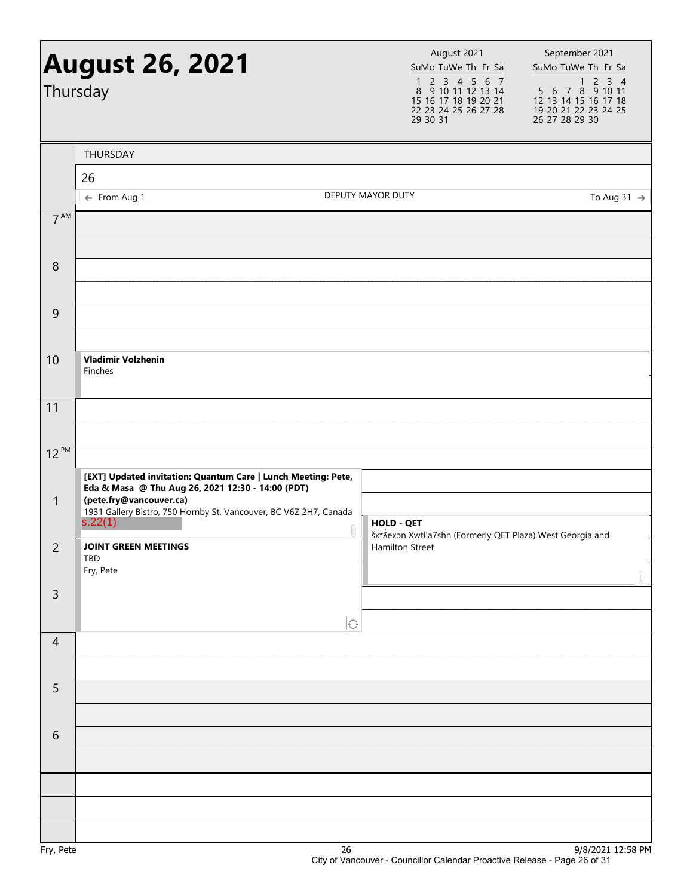|                  | <b>August 26, 2021</b><br>Thursday                                                                                                                |                   | August 2021<br>SuMo TuWe Th Fr Sa<br>$\begin{array}{cccccc}\n1 & 2 & 3 & 4 & 5 & 6 & 7 \\ 8 & 9 & 10 & 11 & 12 & 13 & 14\n\end{array}$<br>15 16 17 18 19 20 21<br>22 23 24 25 26 27 28<br>29 30 31 | September 2021<br>SuMo TuWe Th Fr Sa<br>$\begin{array}{@{}c@{\hspace{1em}}c@{\hspace{1em}}c@{\hspace{1em}}c@{\hspace{1em}}c@{\hspace{1em}}c@{\hspace{1em}}c@{\hspace{1em}}c@{\hspace{1em}}c@{\hspace{1em}}c@{\hspace{1em}}c@{\hspace{1em}}c@{\hspace{1em}}c@{\hspace{1em}}c@{\hspace{1em}}c@{\hspace{1em}}c@{\hspace{1em}}c@{\hspace{1em}}c@{\hspace{1em}}c@{\hspace{1em}}c@{\hspace{1em}}c@{\hspace{1em}}c@{\hspace{1em}}c@{\hspace{1em}}c@{\hspace{$<br>12 13 14 15 16 17 18<br>19 20 21 22 23 24 25<br>26 27 28 29 30 |
|------------------|---------------------------------------------------------------------------------------------------------------------------------------------------|-------------------|----------------------------------------------------------------------------------------------------------------------------------------------------------------------------------------------------|--------------------------------------------------------------------------------------------------------------------------------------------------------------------------------------------------------------------------------------------------------------------------------------------------------------------------------------------------------------------------------------------------------------------------------------------------------------------------------------------------------------------------|
|                  | THURSDAY                                                                                                                                          |                   |                                                                                                                                                                                                    |                                                                                                                                                                                                                                                                                                                                                                                                                                                                                                                          |
|                  | 26<br>← From Aug 1                                                                                                                                | DEPUTY MAYOR DUTY |                                                                                                                                                                                                    | To Aug 31 $\rightarrow$                                                                                                                                                                                                                                                                                                                                                                                                                                                                                                  |
| 7 <sup>AM</sup>  |                                                                                                                                                   |                   |                                                                                                                                                                                                    |                                                                                                                                                                                                                                                                                                                                                                                                                                                                                                                          |
|                  |                                                                                                                                                   |                   |                                                                                                                                                                                                    |                                                                                                                                                                                                                                                                                                                                                                                                                                                                                                                          |
| $\boldsymbol{8}$ |                                                                                                                                                   |                   |                                                                                                                                                                                                    |                                                                                                                                                                                                                                                                                                                                                                                                                                                                                                                          |
| $\overline{9}$   |                                                                                                                                                   |                   |                                                                                                                                                                                                    |                                                                                                                                                                                                                                                                                                                                                                                                                                                                                                                          |
|                  |                                                                                                                                                   |                   |                                                                                                                                                                                                    |                                                                                                                                                                                                                                                                                                                                                                                                                                                                                                                          |
| 10               | <b>Vladimir Volzhenin</b><br>Finches                                                                                                              |                   |                                                                                                                                                                                                    |                                                                                                                                                                                                                                                                                                                                                                                                                                                                                                                          |
| 11               |                                                                                                                                                   |                   |                                                                                                                                                                                                    |                                                                                                                                                                                                                                                                                                                                                                                                                                                                                                                          |
| $12^{PM}$        |                                                                                                                                                   |                   |                                                                                                                                                                                                    |                                                                                                                                                                                                                                                                                                                                                                                                                                                                                                                          |
|                  | [EXT] Updated invitation: Quantum Care   Lunch Meeting: Pete,                                                                                     |                   |                                                                                                                                                                                                    |                                                                                                                                                                                                                                                                                                                                                                                                                                                                                                                          |
| $\mathbf{1}$     | Eda & Masa @ Thu Aug 26, 2021 12:30 - 14:00 (PDT)<br>(pete.fry@vancouver.ca)<br>1931 Gallery Bistro, 750 Hornby St, Vancouver, BC V6Z 2H7, Canada |                   |                                                                                                                                                                                                    |                                                                                                                                                                                                                                                                                                                                                                                                                                                                                                                          |
|                  | s.22(1)                                                                                                                                           | <b>HOLD - QET</b> | šx <sup>w</sup> Xexan Xwtl'a7shn (Formerly QET Plaza) West Georgia and                                                                                                                             |                                                                                                                                                                                                                                                                                                                                                                                                                                                                                                                          |
| 2                | <b>JOINT GREEN MEETINGS</b><br>TBD<br>Fry, Pete                                                                                                   |                   | Hamilton Street                                                                                                                                                                                    |                                                                                                                                                                                                                                                                                                                                                                                                                                                                                                                          |
| $\mathsf{3}$     |                                                                                                                                                   |                   |                                                                                                                                                                                                    | Û                                                                                                                                                                                                                                                                                                                                                                                                                                                                                                                        |
|                  |                                                                                                                                                   | $\bigcirc$        |                                                                                                                                                                                                    |                                                                                                                                                                                                                                                                                                                                                                                                                                                                                                                          |
| $\overline{4}$   |                                                                                                                                                   |                   |                                                                                                                                                                                                    |                                                                                                                                                                                                                                                                                                                                                                                                                                                                                                                          |
|                  |                                                                                                                                                   |                   |                                                                                                                                                                                                    |                                                                                                                                                                                                                                                                                                                                                                                                                                                                                                                          |
| 5                |                                                                                                                                                   |                   |                                                                                                                                                                                                    |                                                                                                                                                                                                                                                                                                                                                                                                                                                                                                                          |
| 6                |                                                                                                                                                   |                   |                                                                                                                                                                                                    |                                                                                                                                                                                                                                                                                                                                                                                                                                                                                                                          |
|                  |                                                                                                                                                   |                   |                                                                                                                                                                                                    |                                                                                                                                                                                                                                                                                                                                                                                                                                                                                                                          |
|                  |                                                                                                                                                   |                   |                                                                                                                                                                                                    |                                                                                                                                                                                                                                                                                                                                                                                                                                                                                                                          |
|                  |                                                                                                                                                   |                   |                                                                                                                                                                                                    |                                                                                                                                                                                                                                                                                                                                                                                                                                                                                                                          |
| En/Doto          | ንደ                                                                                                                                                |                   |                                                                                                                                                                                                    | $Q/Q/20211255$ DM                                                                                                                                                                                                                                                                                                                                                                                                                                                                                                        |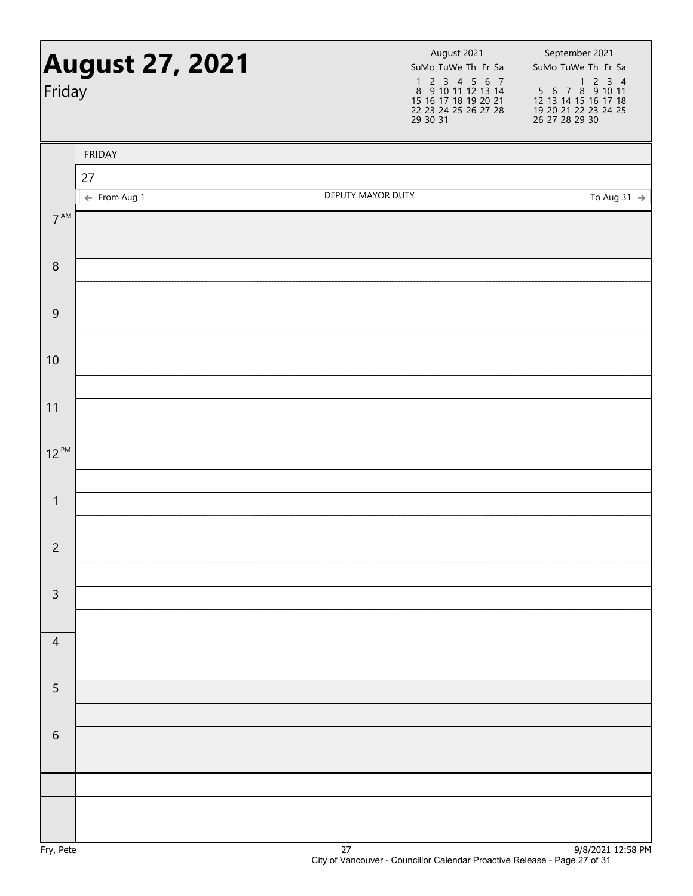| Friday          | <b>August 27, 2021</b>        |                   | August 2021<br>SuMo TuWe Th Fr Sa<br>1 2 3 4 5 6 7<br>8 9 10 11 12 13 14<br>15 16 17 18 19 20 21<br>22 23 24 25 26 27 28<br>29 30 31 | September 2021<br>SuMo TuWe Th Fr Sa |
|-----------------|-------------------------------|-------------------|--------------------------------------------------------------------------------------------------------------------------------------|--------------------------------------|
|                 | <b>FRIDAY</b>                 |                   |                                                                                                                                      |                                      |
|                 | 27<br>$\leftarrow$ From Aug 1 | DEPUTY MAYOR DUTY |                                                                                                                                      | To Aug 31 $\rightarrow$              |
| $7^{\text{AM}}$ |                               |                   |                                                                                                                                      |                                      |
| $\,8\,$         |                               |                   |                                                                                                                                      |                                      |
| $\mathsf 9$     |                               |                   |                                                                                                                                      |                                      |
| 10              |                               |                   |                                                                                                                                      |                                      |
| 11              |                               |                   |                                                                                                                                      |                                      |
| $12^{PM}$       |                               |                   |                                                                                                                                      |                                      |
| $\mathbf{1}$    |                               |                   |                                                                                                                                      |                                      |
| $\overline{c}$  |                               |                   |                                                                                                                                      |                                      |
| $\mathsf 3$     |                               |                   |                                                                                                                                      |                                      |
| $\overline{4}$  |                               |                   |                                                                                                                                      |                                      |
| $\sqrt{5}$      |                               |                   |                                                                                                                                      |                                      |
| $\sqrt{6}$      |                               |                   |                                                                                                                                      |                                      |
|                 |                               |                   |                                                                                                                                      |                                      |
|                 |                               |                   |                                                                                                                                      |                                      |
|                 |                               |                   |                                                                                                                                      |                                      |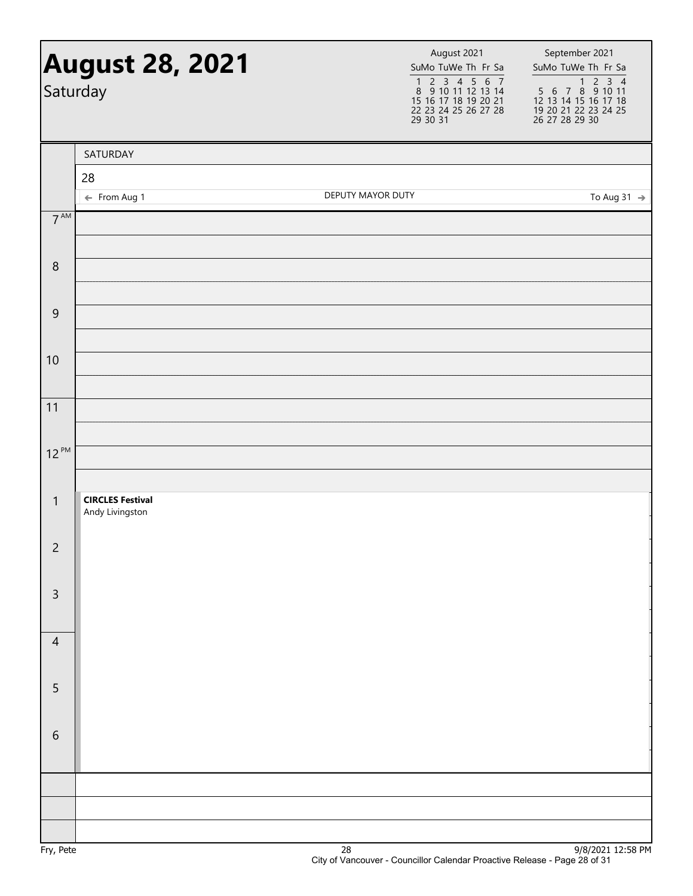|                    | <b>August 28, 2021</b><br>Saturday         | August 2021<br>SuMo TuWe Th Fr Sa<br>1 2 3 4 5 6 7<br>8 9 10 11 12 13 14<br>15 16 17 18 19 20 21<br>22 23 24 25 26 27 28<br>29 30 31 | September 2021<br>SuMo TuWe Th Fr Sa |
|--------------------|--------------------------------------------|--------------------------------------------------------------------------------------------------------------------------------------|--------------------------------------|
|                    | SATURDAY                                   |                                                                                                                                      |                                      |
|                    | 28                                         |                                                                                                                                      |                                      |
|                    | ← From Aug 1                               | DEPUTY MAYOR DUTY                                                                                                                    | To Aug 31 $\rightarrow$              |
| $7^{\text{AM}}$    |                                            |                                                                                                                                      |                                      |
| $\,8\,$            |                                            |                                                                                                                                      |                                      |
| $\boldsymbol{9}$   |                                            |                                                                                                                                      |                                      |
| 10                 |                                            |                                                                                                                                      |                                      |
| 11                 |                                            |                                                                                                                                      |                                      |
| $12^{PM}$          |                                            |                                                                                                                                      |                                      |
| $\mathbf{1}$       | <b>CIRCLES Festival</b><br>Andy Livingston |                                                                                                                                      |                                      |
| $\overline{c}$     |                                            |                                                                                                                                      |                                      |
| $\mathsf{3}$       |                                            |                                                                                                                                      |                                      |
| $\overline{4}$     |                                            |                                                                                                                                      |                                      |
| 5                  |                                            |                                                                                                                                      |                                      |
| $\sqrt{6}$         |                                            |                                                                                                                                      |                                      |
|                    |                                            |                                                                                                                                      |                                      |
|                    |                                            |                                                                                                                                      |                                      |
|                    |                                            |                                                                                                                                      |                                      |
| En, D <sub>0</sub> |                                            | າດ                                                                                                                                   | $0/0/2021$ 12.50 DM                  |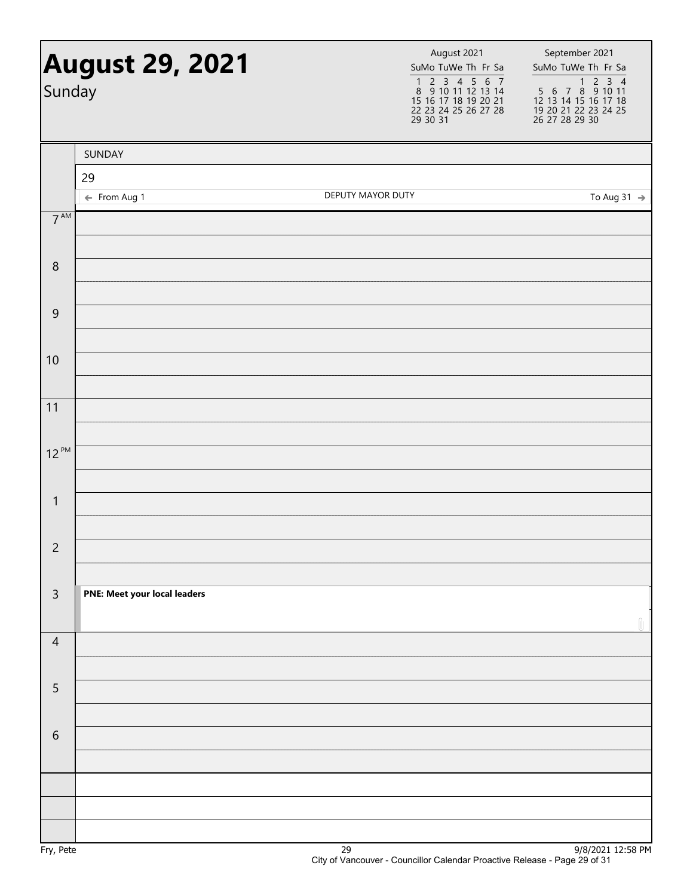| Sunday          | <b>August 29, 2021</b>       |                   | August 2021<br>SuMo TuWe Th Fr Sa<br>1 2 3 4 5 6 7<br>8 9 10 11 12 13 14<br>15 16 17 18 19 20 21<br>22 23 24 25 26 27 28<br>29 30 31 | September 2021<br>SuMo TuWe Th Fr Sa<br>$\begin{array}{r} \hline 1\,2\,3\,4\\ 5\,6\,7\,8\,9\,10\,11\\ 12\,13\,14\,15\,16\,17\,18\\ 19\,20\,21\,22\,23\,24\,25\\ 26\,27\,28\,29\,30 \end{array}$ |
|-----------------|------------------------------|-------------------|--------------------------------------------------------------------------------------------------------------------------------------|-------------------------------------------------------------------------------------------------------------------------------------------------------------------------------------------------|
|                 | SUNDAY                       |                   |                                                                                                                                      |                                                                                                                                                                                                 |
|                 | 29                           |                   |                                                                                                                                      |                                                                                                                                                                                                 |
|                 | ← From Aug 1                 | DEPUTY MAYOR DUTY |                                                                                                                                      | To Aug 31 $\rightarrow$                                                                                                                                                                         |
| $7^{\text{AM}}$ |                              |                   |                                                                                                                                      |                                                                                                                                                                                                 |
| $\,8\,$         |                              |                   |                                                                                                                                      |                                                                                                                                                                                                 |
| $\mathsf 9$     |                              |                   |                                                                                                                                      |                                                                                                                                                                                                 |
| 10              |                              |                   |                                                                                                                                      |                                                                                                                                                                                                 |
| 11              |                              |                   |                                                                                                                                      |                                                                                                                                                                                                 |
|                 |                              |                   |                                                                                                                                      |                                                                                                                                                                                                 |
| $12^{PM}$       |                              |                   |                                                                                                                                      |                                                                                                                                                                                                 |
| $\mathbf{1}$    |                              |                   |                                                                                                                                      |                                                                                                                                                                                                 |
| $\overline{c}$  |                              |                   |                                                                                                                                      |                                                                                                                                                                                                 |
| $\overline{3}$  | PNE: Meet your local leaders |                   |                                                                                                                                      |                                                                                                                                                                                                 |
| $\overline{4}$  |                              |                   |                                                                                                                                      |                                                                                                                                                                                                 |
| 5               |                              |                   |                                                                                                                                      |                                                                                                                                                                                                 |
| $\sqrt{6}$      |                              |                   |                                                                                                                                      |                                                                                                                                                                                                 |
|                 |                              |                   |                                                                                                                                      |                                                                                                                                                                                                 |
|                 |                              |                   |                                                                                                                                      |                                                                                                                                                                                                 |
|                 |                              |                   |                                                                                                                                      |                                                                                                                                                                                                 |
|                 |                              | $\sim$            |                                                                                                                                      | 0.0012021325500                                                                                                                                                                                 |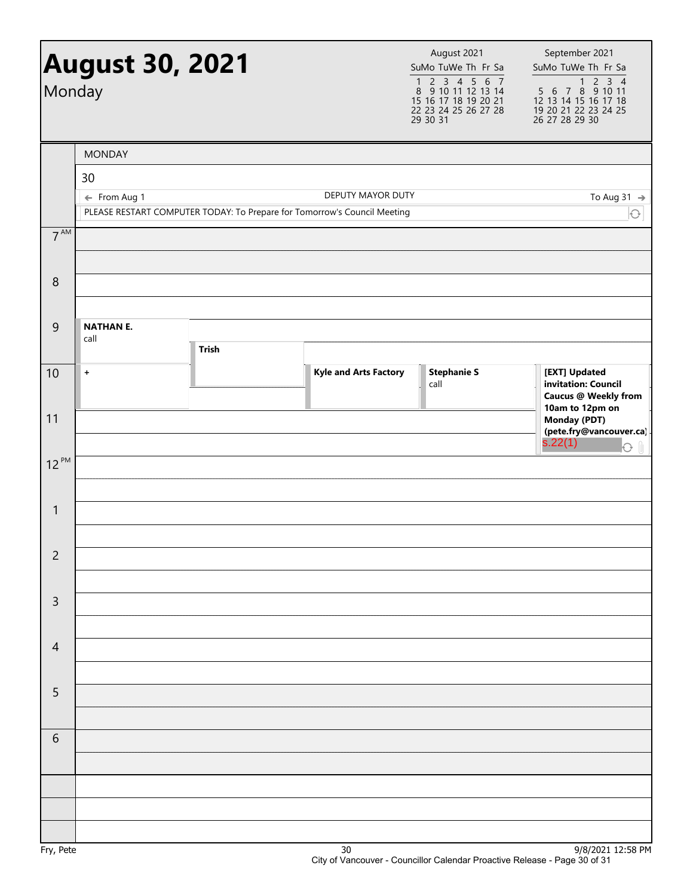| Monday         | <b>August 30, 2021</b> |              |                                                                                               | August 2021<br>SuMo TuWe Th Fr Sa<br>$\begin{array}{cccccc}\n1 & 2 & 3 & 4 & 5 & 6 & 7 \\ 8 & 9 & 10 & 11 & 12 & 13 & 14\n\end{array}$<br>15 16 17 18 19 20 21<br>22 23 24 25 26 27 28<br>$\overline{29}$ $\overline{30}$ $\overline{31}$ | September 2021<br>SuMo TuWe Th Fr Sa<br>1 2 3 4<br>5 6 7 8 9 10 11<br>12 13 14 15 16 17 18<br>19 20 21 22 23 24 25<br>26 27 28 29 30 |
|----------------|------------------------|--------------|-----------------------------------------------------------------------------------------------|-------------------------------------------------------------------------------------------------------------------------------------------------------------------------------------------------------------------------------------------|--------------------------------------------------------------------------------------------------------------------------------------|
|                | <b>MONDAY</b>          |              |                                                                                               |                                                                                                                                                                                                                                           |                                                                                                                                      |
|                | 30                     |              |                                                                                               |                                                                                                                                                                                                                                           |                                                                                                                                      |
|                | ← From Aug 1           |              | DEPUTY MAYOR DUTY<br>PLEASE RESTART COMPUTER TODAY: To Prepare for Tomorrow's Council Meeting |                                                                                                                                                                                                                                           | To Aug 31 $\rightarrow$<br>$\bigcirc$                                                                                                |
| $7^{AM}$       |                        |              |                                                                                               |                                                                                                                                                                                                                                           |                                                                                                                                      |
|                |                        |              |                                                                                               |                                                                                                                                                                                                                                           |                                                                                                                                      |
| 8              |                        |              |                                                                                               |                                                                                                                                                                                                                                           |                                                                                                                                      |
|                |                        |              |                                                                                               |                                                                                                                                                                                                                                           |                                                                                                                                      |
| 9              | <b>NATHAN E.</b>       |              |                                                                                               |                                                                                                                                                                                                                                           |                                                                                                                                      |
|                | call                   | <b>Trish</b> |                                                                                               |                                                                                                                                                                                                                                           |                                                                                                                                      |
| 10             | $\ddot{}$              |              | <b>Kyle and Arts Factory</b>                                                                  | <b>Stephanie S</b><br>call                                                                                                                                                                                                                | [EXT] Updated<br>invitation: Council<br><b>Caucus @ Weekly from</b>                                                                  |
| 11             |                        |              |                                                                                               |                                                                                                                                                                                                                                           | 10am to 12pm on<br><b>Monday (PDT)</b><br>(pete.fry@vancouver.ca)<br>s.22(1)<br>$\Theta$ $\parallel$                                 |
| $12^{PM}$      |                        |              |                                                                                               |                                                                                                                                                                                                                                           |                                                                                                                                      |
|                |                        |              |                                                                                               |                                                                                                                                                                                                                                           |                                                                                                                                      |
| $\mathbf{1}$   |                        |              |                                                                                               |                                                                                                                                                                                                                                           |                                                                                                                                      |
|                |                        |              |                                                                                               |                                                                                                                                                                                                                                           |                                                                                                                                      |
| $\overline{c}$ |                        |              |                                                                                               |                                                                                                                                                                                                                                           |                                                                                                                                      |
| $\mathsf{3}$   |                        |              |                                                                                               |                                                                                                                                                                                                                                           |                                                                                                                                      |
|                |                        |              |                                                                                               |                                                                                                                                                                                                                                           |                                                                                                                                      |
| $\overline{4}$ |                        |              |                                                                                               |                                                                                                                                                                                                                                           |                                                                                                                                      |
|                |                        |              |                                                                                               |                                                                                                                                                                                                                                           |                                                                                                                                      |
| 5              |                        |              |                                                                                               |                                                                                                                                                                                                                                           |                                                                                                                                      |
|                |                        |              |                                                                                               |                                                                                                                                                                                                                                           |                                                                                                                                      |
| 6              |                        |              |                                                                                               |                                                                                                                                                                                                                                           |                                                                                                                                      |
|                |                        |              |                                                                                               |                                                                                                                                                                                                                                           |                                                                                                                                      |
|                |                        |              |                                                                                               |                                                                                                                                                                                                                                           |                                                                                                                                      |
|                |                        |              |                                                                                               |                                                                                                                                                                                                                                           |                                                                                                                                      |
|                |                        |              |                                                                                               |                                                                                                                                                                                                                                           | 0/0/2021                                                                                                                             |